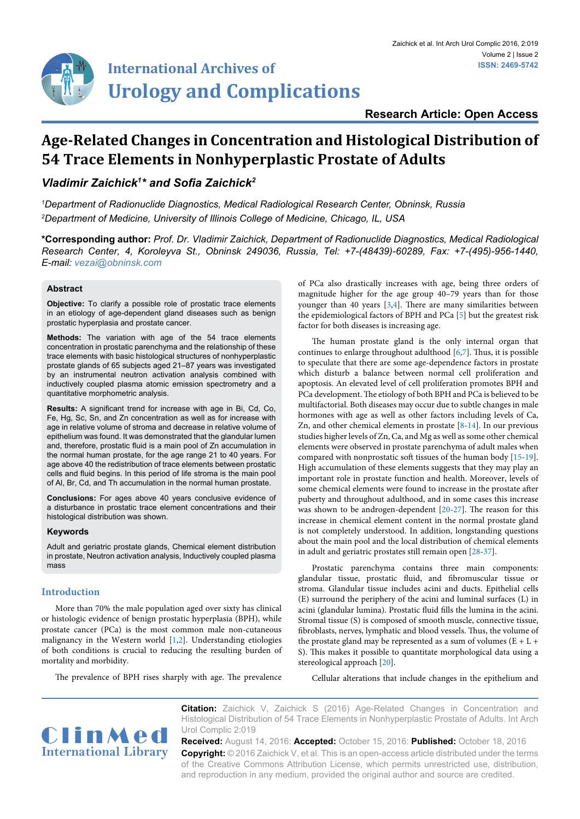

## **Research Article: Open Access**

# **Age-Related Changes in Concentration and Histological Distribution of 54 Trace Elements in Nonhyperplastic Prostate of Adults**

## *Vladimir Zaichick1 \* and Sofia Zaichick<sup>2</sup>*

*1 Department of Radionuclide Diagnostics, Medical Radiological Research Center, Obninsk, Russia 2 Department of Medicine, University of Illinois College of Medicine, Chicago, IL, USA*

**\*Corresponding author:** *Prof. Dr. Vladimir Zaichick, Department of Radionuclide Diagnostics, Medical Radiological Research Center, 4, Koroleyva St., Obninsk 249036, Russia, Tel: +7-(48439)-60289, Fax: +7-(495)-956-1440, E-mail: vezai@obninsk.com*

## **Abstract**

**Objective:** To clarify a possible role of prostatic trace elements in an etiology of age-dependent gland diseases such as benign prostatic hyperplasia and prostate cancer.

**Methods:** The variation with age of the 54 trace elements concentration in prostatic parenchyma and the relationship of these trace elements with basic histological structures of nonhyperplastic prostate glands of 65 subjects aged 21–87 years was investigated by an instrumental neutron activation analysis combined with inductively coupled plasma atomic emission spectrometry and a quantitative morphometric analysis.

**Results:** A significant trend for increase with age in Bi, Cd, Co, Fe, Hg, Sc, Sn, and Zn concentration as well as for increase with age in relative volume of stroma and decrease in relative volume of epithelium was found. It was demonstrated that the glandular lumen and, therefore, prostatic fluid is a main pool of Zn accumulation in the normal human prostate, for the age range 21 to 40 years. For age above 40 the redistribution of trace elements between prostatic cells and fluid begins. In this period of life stroma is the main pool of Al, Br, Cd, and Th accumulation in the normal human prostate.

**Conclusions:** For ages above 40 years conclusive evidence of a disturbance in prostatic trace element concentrations and their histological distribution was shown.

#### **Keywords**

Adult and geriatric prostate glands, Chemical element distribution in prostate, Neutron activation analysis, Inductively coupled plasma mass

#### **Introduction**

More than 70% the male population aged over sixty has clinical or histologic evidence of benign prostatic hyperplasia (BPH), while prostate cancer (PCa) is the most common male non-cutaneous malignancy in the Western world [[1](#page-10-5)[,2\]](#page-10-6). Understanding etiologies of both conditions is crucial to reducing the resulting burden of mortality and morbidity.

of PCa also drastically increases with age, being three orders of magnitude higher for the age group 40–79 years than for those younger than 40 years [\[3](#page-10-0)[,4\]](#page-10-1). There are many similarities between the epidemiological factors of BPH and PCa [\[5\]](#page-10-2) but the greatest risk factor for both diseases is increasing age.

The human prostate gland is the only internal organ that continues to enlarge throughout adulthood [\[6,](#page-10-3)[7\]](#page-10-4). Thus, it is possible to speculate that there are some age-dependence factors in prostate which disturb a balance between normal cell proliferation and apoptosis. An elevated level of cell proliferation promotes BPH and PCa development. The etiology of both BPH and PCa is believed to be multifactorial. Both diseases may occur due to subtle changes in male hormones with age as well as other factors including levels of Ca, Zn, and other chemical elements in prostate [\[8-](#page-11-0)[14\]](#page-11-1). In our previous studies higher levels of Zn, Ca, and Mg as well as some other chemical elements were observed in prostate parenchyma of adult males when compared with nonprostatic soft tissues of the human body [\[15-](#page-11-2)[19\]](#page-11-3). High accumulation of these elements suggests that they may play an important role in prostate function and health. Moreover, levels of some chemical elements were found to increase in the prostate after puberty and throughout adulthood, and in some cases this increase was shown to be androgen-dependent [[20](#page-11-4)[-27](#page-11-5)]. The reason for this increase in chemical element content in the normal prostate gland is not completely understood. In addition, longstanding questions about the main pool and the local distribution of chemical elements in adult and geriatric prostates still remain open [\[28](#page-11-6)[-37\]](#page-11-7).

Prostatic parenchyma contains three main components: glandular tissue, prostatic fluid, and fibromuscular tissue or stroma. Glandular tissue includes acini and ducts. Epithelial cells (E) surround the periphery of the acini and luminal surfaces (L) in acini (glandular lumina). Prostatic fluid fills the lumina in the acini. Stromal tissue (S) is composed of smooth muscle, connective tissue, fibroblasts, nerves, lymphatic and blood vessels. Thus, the volume of the prostate gland may be represented as a sum of volumes  $(E + L +$ S). This makes it possible to quantitate morphological data using a stereological approach [\[20\]](#page-11-4).

The prevalence of BPH rises sharply with age. The prevalence

Cellular alterations that include changes in the epithelium and



**Citation:** Zaichick V, Zaichick S (2016) Age-Related Changes in Concentration and Histological Distribution of 54 Trace Elements in Nonhyperplastic Prostate of Adults. Int Arch Urol Complic 2:019

**Received:** August 14, 2016: **Accepted:** October 15, 2016: **Published:** October 18, 2016 **Copyright:** © 2016 Zaichick V, et al. This is an open-access article distributed under the terms of the Creative Commons Attribution License, which permits unrestricted use, distribution, and reproduction in any medium, provided the original author and source are credited.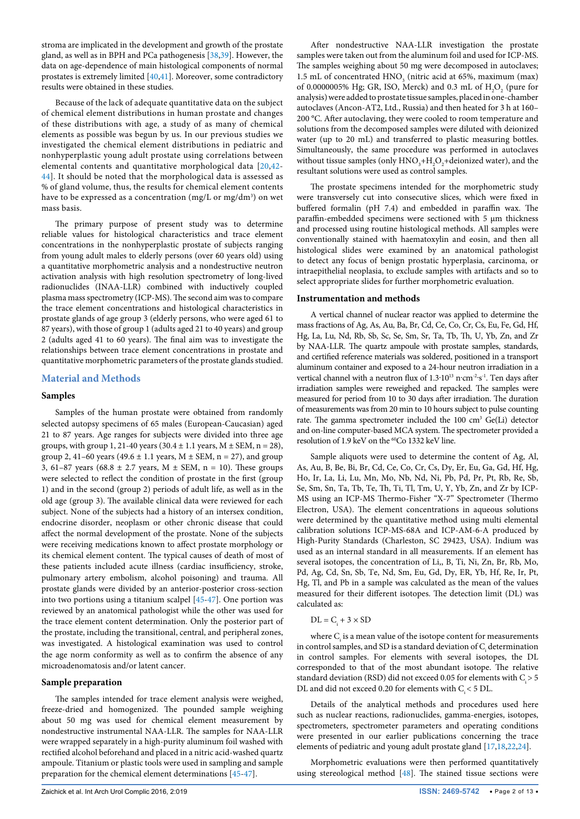stroma are implicated in the development and growth of the prostate gland, as well as in BPH and PCa pathogenesis [[38](#page-11-13)[,39\]](#page-11-14). However, the data on age-dependence of main histological components of normal prostates is extremely limited [[40](#page-11-15)[,41](#page-11-16)]. Moreover, some contradictory results were obtained in these studies.

Because of the lack of adequate quantitative data on the subject of chemical element distributions in human prostate and changes of these distributions with age, a study of as many of chemical elements as possible was begun by us. In our previous studies we investigated the chemical element distributions in pediatric and nonhyperplastic young adult prostate using correlations between elemental contents and quantitative morphological data [[20](#page-11-4)[,42](#page-11-17)- [44\]](#page-11-18). It should be noted that the morphological data is assessed as % of gland volume, thus, the results for chemical element contents have to be expressed as a concentration (mg/L or mg/dm $^3$ ) on wet mass basis.

The primary purpose of present study was to determine reliable values for histological characteristics and trace element concentrations in the nonhyperplastic prostate of subjects ranging from young adult males to elderly persons (over 60 years old) using a quantitative morphometric analysis and a nondestructive neutron activation analysis with high resolution spectrometry of long-lived radionuclides (INAA-LLR) combined with inductively coupled plasma mass spectrometry (ICP-MS). The second aim was to compare the trace element concentrations and histological characteristics in prostate glands of age group 3 (elderly persons, who were aged 61 to 87 years), with those of group 1 (adults aged 21 to 40 years) and group 2 (adults aged 41 to 60 years). The final aim was to investigate the relationships between trace element concentrations in prostate and quantitative morphometric parameters of the prostate glands studied.

### **Material and Methods**

#### **Samples**

Samples of the human prostate were obtained from randomly selected autopsy specimens of 65 males (European-Caucasian) aged 21 to 87 years. Age ranges for subjects were divided into three age groups, with group 1, 21-40 years (30.4  $\pm$  1.1 years, M  $\pm$  SEM, n = 28), group 2, 41–60 years (49.6  $\pm$  1.1 years, M  $\pm$  SEM, n = 27), and group 3, 61–87 years (68.8  $\pm$  2.7 years, M  $\pm$  SEM, n = 10). These groups were selected to reflect the condition of prostate in the first (group 1) and in the second (group 2) periods of adult life, as well as in the old age (group 3). The available clinical data were reviewed for each subject. None of the subjects had a history of an intersex condition, endocrine disorder, neoplasm or other chronic disease that could affect the normal development of the prostate. None of the subjects were receiving medications known to affect prostate morphology or its chemical element content. The typical causes of death of most of these patients included acute illness (cardiac insufficiency, stroke, pulmonary artery embolism, alcohol poisoning) and trauma. All prostate glands were divided by an anterior-posterior cross-section into two portions using a titanium scalpel [\[45-](#page-11-19)[47\]](#page-11-20). One portion was reviewed by an anatomical pathologist while the other was used for the trace element content determination. Only the posterior part of the prostate, including the transitional, central, and peripheral zones, was investigated. A histological examination was used to control the age norm conformity as well as to confirm the absence of any microadenomatosis and/or latent cancer.

## **Sample preparation**

The samples intended for trace element analysis were weighed, freeze-dried and homogenized. The pounded sample weighing about 50 mg was used for chemical element measurement by nondestructive instrumental NAA-LLR. The samples for NAA-LLR were wrapped separately in a high-purity aluminum foil washed with rectified alcohol beforehand and placed in a nitric acid-washed quartz ampoule. Titanium or plastic tools were used in sampling and sample preparation for the chemical element determinations [[45](#page-11-19)[-47](#page-11-20)].

After nondestructive NAA-LLR investigation the prostate samples were taken out from the aluminum foil and used for ICP-MS. The samples weighing about 50 mg were decomposed in autoclaves; 1.5 mL of concentrated  $HNO<sub>3</sub>$  (nitric acid at 65%, maximum (max) of 0.0000005% Hg; GR, ISO, Merck) and 0.3 mL of  $H_2O_2$  (pure for analysis) were added to prostate tissue samples, placed in one-chamber autoclaves (Ancon-AT2, Ltd., Russia) and then heated for 3 h at 160– 200 °C. After autoclaving, they were cooled to room temperature and solutions from the decomposed samples were diluted with deionized water (up to 20 mL) and transferred to plastic measuring bottles. Simultaneously, the same procedure was performed in autoclaves without tissue samples (only  $HNO<sub>3</sub>+H<sub>2</sub>O<sub>2</sub> +$ deionized water), and the resultant solutions were used as control samples.

The prostate specimens intended for the morphometric study were transversely cut into consecutive slices, which were fixed in buffered formalin (pH 7.4) and embedded in paraffin wax. The paraffin-embedded specimens were sectioned with 5 μm thickness and processed using routine histological methods. All samples were conventionally stained with haematoxylin and eosin, and then all histological slides were examined by an anatomical pathologist to detect any focus of benign prostatic hyperplasia, carcinoma, or intraepithelial neoplasia, to exclude samples with artifacts and so to select appropriate slides for further morphometric evaluation.

#### **Instrumentation and methods**

A vertical channel of nuclear reactor was applied to determine the mass fractions of Ag, As, Au, Ba, Br, Cd, Ce, Co, Cr, Cs, Eu, Fe, Gd, Hf, Hg, La, Lu, Nd, Rb, Sb, Sc, Se, Sm, Sr, Ta, Tb, Th, U, Yb, Zn, and Zr by NAA-LLR. The quartz ampoule with prostate samples, standards, and certified reference materials was soldered, positioned in a transport aluminum container and exposed to a 24-hour neutron irradiation in a vertical channel with a neutron flux of 1.3·10<sup>13</sup> n·cm<sup>-2</sup>·s<sup>-1</sup>. Ten days after irradiation samples were reweighed and repacked. The samples were measured for period from 10 to 30 days after irradiation. The duration of measurements was from 20 min to 10 hours subject to pulse counting rate. The gamma spectrometer included the 100 cm<sup>3</sup> Ge(Li) detector and on-line computer-based MCA system. The spectrometer provided a resolution of 1.9 keV on the <sup>60</sup>Co 1332 keV line.

Sample aliquots were used to determine the content of Ag, Al, As, Au, B, Be, Bi, Br, Cd, Ce, Co, Cr, Cs, Dy, Er, Eu, Ga, Gd, Hf, Hg, Ho, Ir, La, Li, Lu, Mn, Mo, Nb, Nd, Ni, Pb, Pd, Pr, Pt, Rb, Re, Sb, Se, Sm, Sn, Ta, Tb, Te, Th, Ti, Tl, Tm, U, Y, Yb, Zn, and Zr by ICP-MS using an ICP-MS Thermo-Fisher "X-7" Spectrometer (Thermo Electron, USA). The element concentrations in aqueous solutions were determined by the quantitative method using multi elemental calibration solutions ICP-MS-68A and ICP-AM-6-A produced by High-Purity Standards (Charleston, SC 29423, USA). Indium was used as an internal standard in all measurements. If an element has several isotopes, the concentration of Li,, B, Ti, Ni, Zn, Br, Rb, Mo, Pd, Ag, Cd, Sn, Sb, Te, Nd, Sm, Eu, Gd, Dy, ER, Yb, Hf, Re, Ir, Pt, Hg, Tl, and Pb in a sample was calculated as the mean of the values measured for their different isotopes. The detection limit (DL) was calculated as:

## $DL = C_i + 3 \times SD$

where  $C<sub>i</sub>$  is a mean value of the isotope content for measurements in control samples, and SD is a standard deviation of  $\mathbf{C}_\text{i}$  determination in control samples. For elements with several isotopes, the DL corresponded to that of the most abundant isotope. The relative standard deviation (RSD) did not exceed 0.05 for elements with  $C_i > 5$ DL and did not exceed 0.20 for elements with  $C_i < 5$  DL.

Details of the analytical methods and procedures used here such as nuclear reactions, radionuclides, gamma-energies, isotopes, spectrometers, spectrometer parameters and operating conditions were presented in our earlier publications concerning the trace elements of pediatric and young adult prostate gland [[17](#page-11-8)[,18,](#page-11-9)[22,](#page-11-10)[24](#page-11-11)].

Morphometric evaluations were then performed quantitatively using stereological method [[48\]](#page-11-12). The stained tissue sections were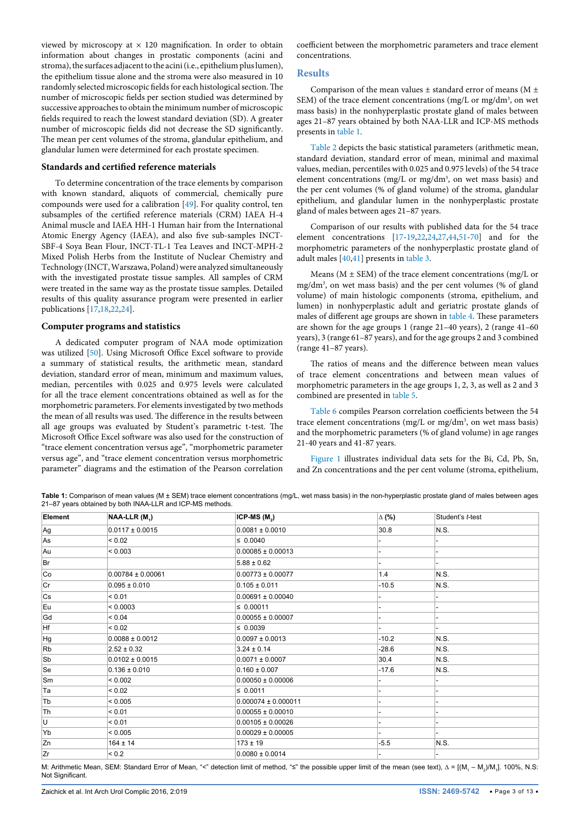viewed by microscopy at  $\times$  120 magnification. In order to obtain information about changes in prostatic components (acini and stroma), the surfaces adjacent to the acini (i.e., epithelium plus lumen), the epithelium tissue alone and the stroma were also measured in 10 randomly selected microscopic fields for each histological section. The number of microscopic fields per section studied was determined by successive approaches to obtain the minimum number of microscopic fields required to reach the lowest standard deviation (SD). A greater number of microscopic fields did not decrease the SD significantly. The mean per cent volumes of the stroma, glandular epithelium, and glandular lumen were determined for each prostate specimen.

## **Standards and certified reference materials**

To determine concentration of the trace elements by comparison with known standard, aliquots of commercial, chemically pure compounds were used for a calibration [[49\]](#page-11-22). For quality control, ten subsamples of the certified reference materials (CRM) IAEA H-4 Animal muscle and IAEA HH-1 Human hair from the International Atomic Energy Agency (IAEA), and also five sub-samples INCT-SBF-4 Soya Bean Flour, INCT-TL-1 Tea Leaves and INCT-MPH-2 Mixed Polish Herbs from the Institute of Nuclear Chemistry and Technology (INCT, Warszawa, Poland) were analyzed simultaneously with the investigated prostate tissue samples. All samples of CRM were treated in the same way as the prostate tissue samples. Detailed results of this quality assurance program were presented in earlier publications [\[17,](#page-11-8)[18](#page-11-9),[22](#page-11-10)[,24\]](#page-11-11).

#### **Computer programs and statistics**

A dedicated computer program of NAA mode optimization was utilized [\[50\]](#page-11-23). Using Microsoft Office Excel software to provide a summary of statistical results, the arithmetic mean, standard deviation, standard error of mean, minimum and maximum values, median, percentiles with 0.025 and 0.975 levels were calculated for all the trace element concentrations obtained as well as for the morphometric parameters. For elements investigated by two methods the mean of all results was used. The difference in the results between all age groups was evaluated by Student's parametric t-test. The Microsoft Office Excel software was also used for the construction of "trace element concentration versus age", "morphometric parameter versus age", and "trace element concentration versus morphometric parameter" diagrams and the estimation of the Pearson correlation

coefficient between the morphometric parameters and trace element concentrations.

#### **Results**

Comparison of the mean values  $\pm$  standard error of means (M  $\pm$ SEM) of the trace element concentrations (mg/L or mg/dm<sup>3</sup>, on wet mass basis) in the nonhyperplastic prostate gland of males between ages 21–87 years obtained by both NAA-LLR and ICP-MS methods presents in [table 1.](#page-2-0)

[Table 2](#page-3-0) depicts the basic statistical parameters (arithmetic mean, standard deviation, standard error of mean, minimal and maximal values, median, percentiles with 0.025 and 0.975 levels) of the 54 trace element concentrations (mg/L or mg/dm<sup>3</sup>, on wet mass basis) and the per cent volumes (% of gland volume) of the stroma, glandular epithelium, and glandular lumen in the nonhyperplastic prostate gland of males between ages 21–87 years.

Comparison of our results with published data for the 54 trace element concentrations [[17](#page-11-8)[-19](#page-11-3)[,22,](#page-11-10)[24](#page-11-11),[27](#page-11-5)[,44,](#page-11-18)[51-](#page-11-21)[70](#page-12-0)] and for the morphometric parameters of the nonhyperplastic prostate gland of adult males [\[40,](#page-11-15)[41](#page-11-16)] presents in [table 3.](#page-4-0)

Means ( $M \pm SEM$ ) of the trace element concentrations (mg/L or mg/dm3 , on wet mass basis) and the per cent volumes (% of gland volume) of main histologic components (stroma, epithelium, and lumen) in nonhyperplastic adult and geriatric prostate glands of males of different age groups are shown in [table 4](#page-5-0). These parameters are shown for the age groups 1 (range 21–40 years), 2 (range 41–60 years), 3 (range 61–87 years), and for the age groups 2 and 3 combined (range 41–87 years).

The ratios of means and the difference between mean values of trace element concentrations and between mean values of morphometric parameters in the age groups 1, 2, 3, as well as 2 and 3 combined are presented in [table 5.](#page-6-0)

[Table 6](#page-7-0) compiles Pearson correlation coefficients between the 54 trace element concentrations (mg/L or mg/dm<sup>3</sup>, on wet mass basis) and the morphometric parameters (% of gland volume) in age ranges 21-40 years and 41-87 years.

[Figure 1](#page-8-0) illustrates individual data sets for the Bi, Cd, Pb, Sn, and Zn concentrations and the per cent volume (stroma, epithelium,

<span id="page-2-0"></span>Table 1: Comparison of mean values (M ± SEM) trace element concentrations (mg/L, wet mass basis) in the non-hyperplastic prostate gland of males between ages 21–87 years obtained by both INAA-LLR and ICP-MS methods.

| Element | $NAA-LLR (M4)$        | ICP-MS $(M2)$           | ∆ (%)   | Student's t-test |
|---------|-----------------------|-------------------------|---------|------------------|
| Ag      | $0.0117 \pm 0.0015$   | $0.0081 \pm 0.0010$     | 30.8    | N.S.             |
| As      | ${}_{0.02}$           | $\leq 0.0040$           |         |                  |
| Au      | < 0.003               | $0.00085 \pm 0.00013$   |         |                  |
| Br      |                       | $5.88 \pm 0.62$         |         |                  |
| Co      | $0.00784 \pm 0.00061$ | $0.00773 \pm 0.00077$   | 1.4     | N.S.             |
| Cr      | $0.095 \pm 0.010$     | $0.105 \pm 0.011$       | $-10.5$ | N.S.             |
| Cs      | < 0.01                | $0.00691 \pm 0.00040$   |         |                  |
| Eu      | < 0.0003              | $\leq 0.00011$          |         |                  |
| Gd      | ${}_{0.04}$           | $0.00055 \pm 0.00007$   |         |                  |
| Hf      | ${}_{0.02}$           | $\leq 0.0039$           |         |                  |
| Hg      | $0.0088 \pm 0.0012$   | $0.0097 \pm 0.0013$     | $-10.2$ | N.S.             |
| Rb      | $2.52 \pm 0.32$       | $3.24 \pm 0.14$         | $-28.6$ | N.S.             |
| Sb      | $0.0102 \pm 0.0015$   | $0.0071 \pm 0.0007$     | 30.4    | N.S.             |
| Se      | $0.136 \pm 0.010$     | $0.160 \pm 0.007$       | $-17.6$ | N.S.             |
| Sm      | < 0.002               | $0.00050 \pm 0.00006$   |         |                  |
| Ta      | ${}_{0.02}$           | $\leq 0.0011$           |         |                  |
| Tb      | < 0.005               | $0.000074 \pm 0.000011$ |         |                  |
| Th      | < 0.01                | $0.00055 \pm 0.00010$   |         |                  |
| U       | < 0.01                | $0.00105 \pm 0.00026$   |         |                  |
| Yb      | < 0.005               | $0.00029 \pm 0.00005$   |         |                  |
| Zn      | $164 \pm 14$          | $173 \pm 19$            | $-5.5$  | N.S.             |
| Zr      | ${}_{0.2}$            | $0.0080 \pm 0.0014$     |         |                  |

M: Arithmetic Mean, SEM: Standard Error of Mean, "<" detection limit of method, "≤" the possible upper limit of the mean (see text), ∆ = [(M<sub>1</sub> – M<sub>2</sub>)/M<sub>1</sub>]. 100%, N.S: Not Significant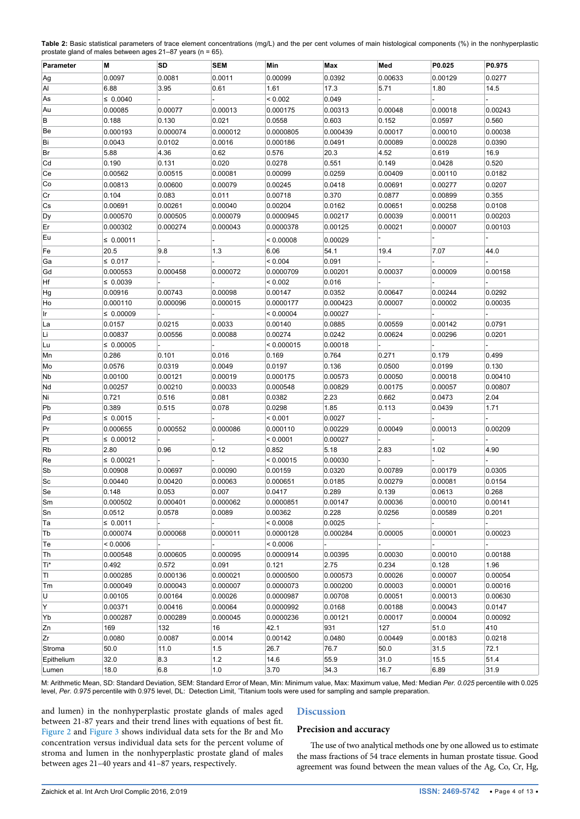<span id="page-3-0"></span>

| Table 2: Basic statistical parameters of trace element concentrations (mg/L) and the per cent volumes of main histological components (%) in the nonhyperplastic |  |
|------------------------------------------------------------------------------------------------------------------------------------------------------------------|--|
| prostate gland of males between ages $21-87$ years (n = 65).                                                                                                     |  |

| Parameter  | М              | SD                  | <b>SEM</b>          | Min                  | Max               | Med                | P0.025             | P0.975            |
|------------|----------------|---------------------|---------------------|----------------------|-------------------|--------------------|--------------------|-------------------|
| Ag         | 0.0097         | 0.0081              | 0.0011              | 0.00099              | 0.0392            | 0.00633            | 0.00129            | 0.0277            |
| Al         | 6.88           | 3.95                | 0.61                | 1.61                 | 17.3              | 5.71               | 1.80               | 14.5              |
| As         | $\leq 0.0040$  |                     |                     | ${}< 0.002$          | 0.049             |                    |                    |                   |
| Au         | 0.00085        | 0.00077             | 0.00013             | 0.000175             | 0.00313           | 0.00048            | 0.00018            | 0.00243           |
| В          | 0.188          | 0.130               | 0.021               | 0.0558               | 0.603             | 0.152              | 0.0597             | 0.560             |
| Be         | 0.000193       | 0.000074            | 0.000012            | 0.0000805            | 0.000439          | 0.00017            | 0.00010            | 0.00038           |
| Bi         | 0.0043         | 0.0102              | 0.0016              | 0.000186             | 0.0491            | 0.00089            | 0.00028            | 0.0390            |
| Br         | 5.88           | 4.36                | 0.62                | 0.576                | 20.3              | 4.52               | 0.619              | 16.9              |
| Cd         | 0.190          | 0.131               | 0.020               | 0.0278               | 0.551             | 0.149              | 0.0428             | 0.520             |
| Ce         | 0.00562        | 0.00515             | 0.00081             | 0.00099              | 0.0259            | 0.00409            | 0.00110            | 0.0182            |
| Co         |                | 0.00600             |                     |                      |                   |                    |                    |                   |
|            | 0.00813        |                     | 0.00079             | 0.00245              | 0.0418            | 0.00691            | 0.00277            | 0.0207            |
| Cr         | 0.104          | 0.083               | 0.011               | 0.00718              | 0.370             | 0.0877             | 0.00899            | 0.355             |
| Cs         | 0.00691        | 0.00261<br>0.000505 | 0.00040<br>0.000079 | 0.00204<br>0.0000945 | 0.0162<br>0.00217 | 0.00651<br>0.00039 | 0.00258<br>0.00011 | 0.0108<br>0.00203 |
| Dy         | 0.000570       |                     |                     |                      |                   |                    |                    |                   |
| Er         | 0.000302       | 0.000274            | 0.000043            | 0.0000378            | 0.00125           | 0.00021            | 0.00007            | 0.00103           |
| Eu         | $\leq 0.00011$ |                     |                     | < 0.00008            | 0.00029           |                    |                    |                   |
| Fe         | 20.5           | 9.8                 | 1.3                 | 6.06                 | 54.1              | 19.4               | 7.07               | 44.0              |
| Ga         | $\leq 0.017$   |                     |                     | < 0.004              | 0.091             |                    |                    |                   |
| Gd         | 0.000553       | 0.000458            | 0.000072            | 0.0000709            | 0.00201           | 0.00037            | 0.00009            | 0.00158           |
| Hf         | $\leq 0.0039$  |                     |                     | < 0.002              | 0.016             |                    |                    |                   |
| Hg         | 0.00916        | 0.00743             | 0.00098             | 0.00147              | 0.0352            | 0.00647            | 0.00244            | 0.0292            |
| Ho         | 0.000110       | 0.000096            | 0.000015            | 0.0000177            | 0.000423          | 0.00007            | 0.00002            | 0.00035           |
| Ir         | $\leq 0.00009$ |                     |                     | < 0.00004            | 0.00027           |                    |                    |                   |
| La         | 0.0157         | 0.0215              | 0.0033              | 0.00140              | 0.0885            | 0.00559            | 0.00142            | 0.0791            |
| Li         | 0.00837        | 0.00556             | 0.00088             | 0.00274              | 0.0242            | 0.00624            | 0.00296            | 0.0201            |
| Lu         | $\leq 0.00005$ |                     |                     | < 0.000015           | 0.00018           |                    |                    |                   |
| Mn         | 0.286          | 0.101               | 0.016               | 0.169                | 0.764             | 0.271              | 0.179              | 0.499             |
| Mo         | 0.0576         | 0.0319              | 0.0049              | 0.0197               | 0.136             | 0.0500             | 0.0199             | 0.130             |
| Nb         | 0.00100        | 0.00121             | 0.00019             | 0.000175             | 0.00573           | 0.00050            | 0.00018            | 0.00410           |
| Nd         | 0.00257        | 0.00210             | 0.00033             | 0.000548             | 0.00829           | 0.00175            | 0.00057            | 0.00807           |
| Ni         | 0.721          | 0.516               | 0.081               | 0.0382               | 2.23              | 0.662              | 0.0473             | 2.04              |
| Pb         | 0.389          | 0.515               | 0.078               | 0.0298               | 1.85              | 0.113              | 0.0439             | 1.71              |
| Pd         | ≤ 0.0015       |                     |                     | < 0.001              | 0.0027            |                    |                    |                   |
| Pr         | 0.000655       | 0.000552            | 0.000086            | 0.000110             | 0.00229           | 0.00049            | 0.00013            | 0.00209           |
| Pt         | $\leq 0.00012$ |                     |                     | < 0.0001             | 0.00027           |                    |                    |                   |
| Rb         | 2.80           | 0.96                | 0.12                | 0.852                | 5.18              | 2.83               | 1.02               | 4.90              |
| Re         | ≤ 0.00021      |                     |                     | < 0.00015            | 0.00030           |                    |                    |                   |
| Sb         | 0.00908        | 0.00697             | 0.00090             | 0.00159              | 0.0320            | 0.00789            | 0.00179            | 0.0305            |
| Sc         | 0.00440        | 0.00420             | 0.00063             | 0.000651             | 0.0185            | 0.00279            | 0.00081            | 0.0154            |
| Se         | 0.148          | 0.053               | 0.007               | 0.0417               | 0.289             | 0.139              | 0.0613             | 0.268             |
| Sm         | 0.000502       | 0.000401            | 0.000062            | 0.0000851            | 0.00147           | 0.00036            | 0.00010            | 0.00141           |
| Sn         | 0.0512         | 0.0578              | 0.0089              | 0.00362              | 0.228             | 0.0256             | 0.00589            | 0.201             |
| Ta         | $\leq 0.0011$  |                     |                     | < 0.0008             | 0.0025            |                    |                    |                   |
| Tb         | 0.000074       | 0.000068            | 0.000011            | 0.0000128            | 0.000284          | 0.00005            | 0.00001            | 0.00023           |
| Te         | < 0.0006       |                     |                     | < 0.0006             |                   |                    |                    |                   |
| Th         | 0.000548       | 0.000605            | 0.000095            | 0.0000914            | 0.00395           | 0.00030            | 0.00010            | 0.00188           |
| Ti*        | 0.492          | 0.572               | 0.091               | 0.121                | 2.75              | 0.234              | 0.128              | 1.96              |
| ΠI         | 0.000285       | 0.000136            | 0.000021            | 0.0000500            | 0.000573          | 0.00026            | 0.00007            | 0.00054           |
| ∣Tm        | 0.000049       | 0.000043            | 0.000007            | 0.0000073            | 0.000200          | 0.00003            | 0.00001            | 0.00016           |
| U          | 0.00105        | 0.00164             | 0.00026             | 0.0000987            | 0.00708           | 0.00051            | 0.00013            | 0.00630           |
| Y          | 0.00371        | 0.00416             | 0.00064             | 0.0000992            | 0.0168            | 0.00188            | 0.00043            | 0.0147            |
| Yb         | 0.000287       | 0.000289            | 0.000045            | 0.0000236            | 0.00121           | 0.00017            | 0.00004            | 0.00092           |
| Zn         | 169            | 132                 | 16                  | 42.1                 | 931               | 127                | 51.0               | 410               |
| Zr         | 0.0080         | 0.0087              | 0.0014              | 0.00142              | 0.0480            | 0.00449            | 0.00183            | 0.0218            |
| Stroma     | 50.0           | 11.0                | 1.5                 | 26.7                 | 76.7              | 50.0               | 31.5               | 72.1              |
| Epithelium | 32.0           | 8.3                 | $1.2$               | 14.6                 | 55.9              | 31.0               | 15.5               | 51.4              |
| Lumen      | 18.0           | 6.8                 | 1.0                 | 3.70                 | 34.3              | 16.7               | 6.89               | 31.9              |

M: Arithmetic Mean, SD: Standard Deviation, SEM: Standard Error of Mean, Min: Minimum value, Max: Maximum value, Med*:* Median *Per. 0.025* percentile with 0.025 level, Per. 0.975 percentile with 0.975 level, DL: Detection Limit, 'Titanium tools were used for sampling and sample preparation.

and lumen) in the nonhyperplastic prostate glands of males aged between 21-87 years and their trend lines with equations of best fit. [Figure 2](#page-9-0) and [Figure 3](#page-9-1) shows individual data sets for the Br and Mo concentration versus individual data sets for the percent volume of stroma and lumen in the nonhyperplastic prostate gland of males between ages 21–40 years and 41–87 years, respectively.

## **Discussion**

## **Precision and accuracy**

The use of two analytical methods one by one allowed us to estimate the mass fractions of 54 trace elements in human prostate tissue. Good agreement was found between the mean values of the Ag, Co, Cr, Hg,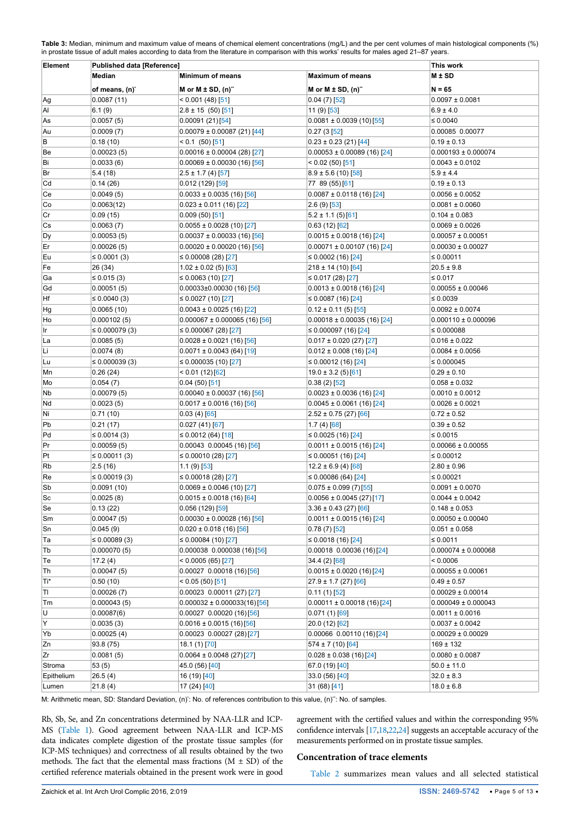<span id="page-4-0"></span>**Table 3:** Median, minimum and maximum value of means of chemical element concentrations (mg/L) and the per cent volumes of main histological components (%) in prostate tissue of adult males according to data from the literature in comparison with this works' results for males aged 21–87 years.

| Element       | <b>Published data [Reference]</b> | This work                                                       |                                                  |                                            |  |
|---------------|-----------------------------------|-----------------------------------------------------------------|--------------------------------------------------|--------------------------------------------|--|
| <b>Median</b> |                                   | <b>Minimum of means</b>                                         | <b>Maximum of means</b>                          | $M \pm SD$                                 |  |
|               | of means, (n) <sup>*</sup>        | M or $M \pm SD$ , $(n)^{n}$                                     | M or M $\pm$ SD, $(n)^{n}$                       | $N = 65$                                   |  |
| Ag            | 0.0087(11)                        | $< 0.001(48)$ [51]                                              | $0.04(7)$ [52]                                   | $0.0097 \pm 0.0081$                        |  |
| Al            | 6.1(9)                            | $2.8 \pm 15$ (50) [51]                                          | $11(9)$ [53]                                     | $6.9 \pm 4.0$                              |  |
| As            | 0.0057(5)                         | 0.00091(21)[54]                                                 | $0.0081 \pm 0.0039(10)[55]$                      | $\leq 0.0040$                              |  |
| Au            | 0.0009(7)                         | $0.00079 \pm 0.00087$ (21) [44]                                 | 0.27(3[52]                                       | 0.00085 0.00077                            |  |
| В             | 0.18(10)                          | $< 0.1$ (50) [51]                                               | $0.23 \pm 0.23$ (21) [44]                        | $0.19 \pm 0.13$                            |  |
| Be            | 0.00023(5)                        | $0.00016 \pm 0.00004$ (28) [27]                                 | $0.00053 \pm 0.00089$ (16) [24]                  | $0.000193 \pm 0.000074$                    |  |
| Bi            | 0.0033(6)                         | $0.00069 \pm 0.00030$ (16) [56]                                 | $< 0.02(50)$ [51]                                | $0.0043 \pm 0.0102$                        |  |
| Br            | 5.4(18)                           | $2.5 \pm 1.7$ (4) [57]                                          | $8.9 \pm 5.6$ (10) [58]                          | $5.9 \pm 4.4$                              |  |
| Cd            | 0.14(26)                          | $0.012(129)$ [59]                                               | 77 89 (55) [61]                                  | $0.19 \pm 0.13$                            |  |
| Ce            | 0.0049(5)                         | $0.0033 \pm 0.0035$ (16) [56]                                   | $0.0087 \pm 0.0118$ (16) [24]                    | $0.0056 \pm 0.0052$                        |  |
| Co            | 0.0063(12)                        | $0.023 \pm 0.011$ (16) [22]                                     | $2.6(9)$ [53]                                    | $0.0081 \pm 0.0060$                        |  |
| Cr            | 0.09(15)                          | 0.009(50)[51]                                                   | $5.2 \pm 1.1$ (5)[61]                            | $0.104 \pm 0.083$                          |  |
| Cs            | 0.0063(7)                         | $0.0055 \pm 0.0028$ (10) [27]                                   | 0.63(12)[62]                                     | $0.0069 \pm 0.0026$                        |  |
| Dy            | 0.00053(5)                        | $0.00037 \pm 0.00033$ (16) [56]                                 | $0.0015 \pm 0.0018$ (16) [24]                    | $0.00057 \pm 0.00051$                      |  |
| Er            | 0.00026(5)                        | $0.00020 \pm 0.00020$ (16) [56]                                 | $0.00071 \pm 0.00107$ (16) [24]                  | $0.00030 \pm 0.00027$                      |  |
| Eu            | ≤ 0.0001 $(3)$                    | ≤ 0.00008 (28) [27]                                             | ≤ 0.0002 (16) [24]                               | ≤ $0.00011$                                |  |
| Fe            | 26 (34)                           | $1.02 \pm 0.02$ (5) [63]                                        | $218 \pm 14$ (10) [64]                           | $20.5 \pm 9.8$                             |  |
| Ga            |                                   |                                                                 | ≤ 0.017 (28) [27]                                | ≤ $0.017$                                  |  |
| Gd            | ≤ 0.015 $(3)$<br>0.00051(5)       | ≤ 0.0063 (10) [27]                                              | $0.0013 \pm 0.0018$ (16) [24]                    |                                            |  |
| Hf            |                                   | $0.00033\pm0.00030$ (16) [56]                                   | ≤ 0.0087 (16) [24]                               | $0.00055 \pm 0.00046$<br>≤ 0.0039          |  |
|               | $\leq 0.0040(3)$                  | ≤ 0.0027 (10) [27]                                              | $0.12 \pm 0.11$ (5) [55]                         |                                            |  |
| Hg            | 0.0065(10)                        | $0.0043 \pm 0.0025$ (16) [22]                                   |                                                  | $0.0092 \pm 0.0074$                        |  |
| Ho            | 0.000102(5)                       | $0.000067 \pm 0.000065$ (16) [56]                               | $0.00018 \pm 0.00035$ (16) [24]                  | $0.000110 \pm 0.000096$                    |  |
| Ir            | $\leq 0.000079(3)$                | ≤ 0.000067 (28) [27]                                            | ≤ 0.000097 (16) [24]                             | ≤ $0.000088$                               |  |
| La            | 0.0085(5)                         | $0.0028 \pm 0.0021$ (16) [56]                                   | $0.017 \pm 0.020$ (27) [27]                      | $0.016 \pm 0.022$                          |  |
| Li            | 0.0074(8)                         | $0.0071 \pm 0.0043$ (64) [19]                                   | $0.012 \pm 0.008$ (16) [24]                      | $0.0084 \pm 0.0056$                        |  |
| Lu            | $\leq 0.000039(3)$                | ≤ 0.000035 (10) [27]                                            | ≤ 0.00012 (16) [24]                              | ≤ 0.000045                                 |  |
| Mn            | 0.26(24)                          | < 0.01 (12) [62]                                                | $19.0 \pm 3.2$ (5)[61]                           | $0.29 \pm 0.10$                            |  |
| Mo            | 0.054(7)                          | 0.04(50)[51]                                                    | $0.38(2)$ [52]                                   | $0.058 \pm 0.032$                          |  |
| Nb            | 0.00079(5)                        | $0.00040 \pm 0.00037$ (16) [56]                                 | $0.0023 \pm 0.0036$ (16) [24]                    | $0.0010 \pm 0.0012$                        |  |
| Nd            | 0.0023(5)                         | $0.0017 \pm 0.0016$ (16) [56]                                   | $0.0045 \pm 0.0061$ (16) [24]                    | $0.0026 \pm 0.0021$                        |  |
| Ni            | 0.71(10)                          | 0.03(4)[65]                                                     | $2.52 \pm 0.75$ (27) [66]                        | $0.72 \pm 0.52$                            |  |
| Pb            | 0.21(17)                          | 0.027(41)[67]                                                   | 1.7(4)[68]                                       | $0.39 \pm 0.52$                            |  |
| Pd            | $\leq 0.0014(3)$                  | ≤ 0.0012 (64) [18]                                              | ≤ 0.0025 (16) [24]                               | ≤ $0.0015$                                 |  |
| Pr<br>Pt      | 0.00059(5)                        | $0.00043$ 0.00045 (16) [56]                                     | $0.0011 \pm 0.0015$ (16) [24]                    | $0.00066 \pm 0.00055$                      |  |
|               | ≤ 0.00011 (3)                     | $\leq 0.00010(28)[27]$                                          | ≤ 0.00051 (16) [24]                              | ≤ 0.00012                                  |  |
| Rb            | 2.5(16)                           | $1.1(9)$ [53]                                                   | $12.2 \pm 6.9 (4) [68]$                          | $2.80 \pm 0.96$                            |  |
| Re<br>Sb      | $\leq 0.00019(3)$                 | ≤ 0.00018 (28) [27]<br>$0.0069 \pm 0.0046$ (10) [27]            | $≤ 0.00086(64)[24]$                              | ≤ 0.00021<br>$0.0091 \pm 0.0070$           |  |
| Sc            | 0.0091(10)                        |                                                                 | $0.075 \pm 0.099$ (7)[55]                        | $0.0044 \pm 0.0042$                        |  |
| Se            | 0.0025(8)<br>0.13(22)             | $0.0015 \pm 0.0018$ (16) [64]                                   | $0.0056 \pm 0.0045$ (27)[17]                     | $0.148 \pm 0.053$                          |  |
|               |                                   | $0.056(129)$ [59]                                               | $3.36 \pm 0.43$ (27) [66]                        |                                            |  |
| Sm<br>Sn      | 0.00047(5)<br>0.045(9)            | $0.00030 \pm 0.00028$ (16) [56]                                 | $0.0011 \pm 0.0015$ (16) [24]                    | $0.00050 \pm 0.00040$<br>$0.051 \pm 0.058$ |  |
| Ta            | $\leq 0.00089(3)$                 | $0.020 \pm 0.018$ (16) [56]<br>≤ 0.00084 (10) [27]              | 0.78(7)[52]<br>≤ 0.0018 (16) [24]                | ≤ 0.0011                                   |  |
| Tb            | 0.000070(5)                       | $0.000038$ $0.000038$ (16)[56]                                  | $0.00018$ $0.00036$ (16)[24]                     | $0.000074 \pm 0.000068$                    |  |
| Te            | 17.2(4)                           | < 0.0005 (65) [27]                                              | 34.4 (2) [68]                                    | 0.0006                                     |  |
| Th            | 0.00047(5)                        | $0.00027$ 0.00018 (16)[56]                                      | $0.0015 \pm 0.0020$ (16) [24]                    | $0.00055 \pm 0.00061$                      |  |
| Ti*           | 0.50(10)                          | < 0.05(50)[51]                                                  | $27.9 \pm 1.7$ (27) [66]                         | $0.49 \pm 0.57$                            |  |
|               |                                   |                                                                 |                                                  | $0.00029 \pm 0.00014$                      |  |
| TI<br>Tm      | 0.00026(7)<br>0.000043(5)         | $0.00023$ 0.00011 (27) [27]<br>$0.000032 \pm 0.000033(16)$ [56] | $0.11(1)$ [52]<br>$0.00011 \pm 0.00018(16)$ [24] | $0.000049 \pm 0.000043$                    |  |
| U             |                                   |                                                                 |                                                  | $0.0011 \pm 0.0016$                        |  |
| Υ             | 0.00087(6)                        | $0.00027$ 0.00020 (16)[56]                                      | $0.071(1)$ [69]                                  |                                            |  |
| Yb            | 0.0035(3)                         | $0.0016 \pm 0.0015(16)[56]$                                     | 20.0 (12) [62]                                   | $0.0037 \pm 0.0042$                        |  |
|               | 0.00025(4)                        | $0.00023$ 0.00027 (28)[27]                                      | $0.00066$ $0.00110$ (16)[24]                     | $0.00029 \pm 0.00029$                      |  |
| Zn            | 93.8 (75)                         | 18.1 (1) [70]                                                   | $574 \pm 7(10)$ [64]                             | $169 \pm 132$                              |  |
| Zr            | 0.0081(5)                         | $0.0064 \pm 0.0048$ (27)[27]                                    | $0.028 \pm 0.038(16)[24]$                        | $0.0080 \pm 0.0087$                        |  |
| Stroma        | 53(5)                             | 45.0 (56) [40]                                                  | 67.0 (19) [40]                                   | $50.0 \pm 11.0$<br>$32.0 \pm 8.3$          |  |
| Epithelium    | 26.5(4)                           | 16 (19) [40]                                                    | 33.0(56)[40]                                     |                                            |  |
| Lumen         | 21.8(4)                           | 17 (24) [40]                                                    | 31 (68) [41]                                     | $18.0 \pm 6.8$                             |  |

M: Arithmetic mean, SD: Standard Deviation, (n): No. of references contribution to this value, (n)": No. of samples.

Rb, Sb, Se, and Zn concentrations determined by NAA-LLR and ICP-MS ([Table 1](#page-2-0)). Good agreement between NAA-LLR and ICP-MS data indicates complete digestion of the prostate tissue samples (for ICP-MS techniques) and correctness of all results obtained by the two methods. The fact that the elemental mass fractions ( $M \pm SD$ ) of the certified reference materials obtained in the present work were in good agreement with the certified values and within the corresponding 95% confidence intervals [[17,](#page-11-8)[18](#page-11-9)[,22](#page-11-10)[,24](#page-11-11)] suggests an acceptable accuracy of the measurements performed on in prostate tissue samples.

### **Concentration of trace elements**

[Table 2](#page-3-0) summarizes mean values and all selected statistical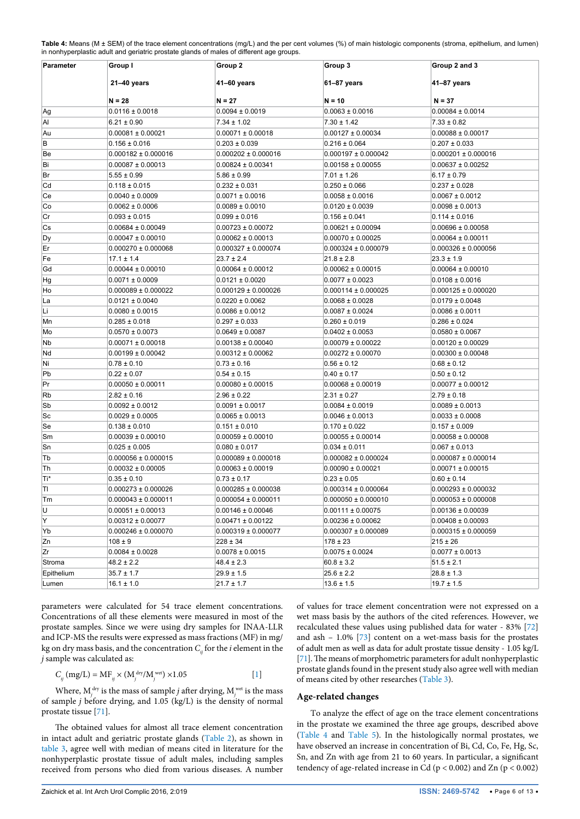<span id="page-5-0"></span>Table 4: Means (M ± SEM) of the trace element concentrations (mg/L) and the per cent volumes (%) of main histologic components (stroma, epithelium, and lumen) in nonhyperplastic adult and geriatric prostate glands of males of different age groups.

| Parameter   | Group I                 | Group 2                 | Group 3                 | Group 2 and 3           |
|-------------|-------------------------|-------------------------|-------------------------|-------------------------|
| 21-40 years |                         | 41–60 years             | 61–87 years             | 41–87 years             |
|             | N = 28                  | N = 27                  | N = 10                  | $N = 37$                |
| Ag          | $0.0116 \pm 0.0018$     | $0.0094 \pm 0.0019$     | $0.0063 \pm 0.0016$     | $0.00084 \pm 0.0014$    |
| Al          | $6.21 \pm 0.90$         | $7.34 \pm 1.02$         | $7.30 \pm 1.42$         | $7.33 \pm 0.82$         |
| Au          | $0.00081 \pm 0.00021$   | $0.00071 \pm 0.00018$   | $0.00127 \pm 0.00034$   | $0.00088 \pm 0.00017$   |
| B           | $0.156 \pm 0.016$       | $0.203 \pm 0.039$       | $0.216 \pm 0.064$       | $0.207 \pm 0.033$       |
| Be          | $0.000182 \pm 0.000016$ | $0.000202 \pm 0.000016$ | $0.000197 \pm 0.000042$ | $0.000201 \pm 0.000016$ |
| Bi          | $0.00087 \pm 0.00013$   | $0.00824 \pm 0.00341$   | $0.00158 \pm 0.00055$   | $0.00637 \pm 0.00252$   |
| Br          | $5.55 \pm 0.99$         | $5.86 \pm 0.99$         | 7.01 ± 1.26             | $6.17 \pm 0.79$         |
| Cd          | $0.118 \pm 0.015$       | $0.232 \pm 0.031$       | $0.250 \pm 0.066$       | $0.237 \pm 0.028$       |
| Ce          | $0.0040 \pm 0.0009$     | $0.0071 \pm 0.0016$     | $0.0058 \pm 0.0016$     | $0.0067 \pm 0.0012$     |
| Co          | $0.0062 \pm 0.0006$     | $0.0089 \pm 0.0010$     | $0.0120 \pm 0.0039$     | $0.0098 \pm 0.0013$     |
| Cr          | $0.093 \pm 0.015$       | $0.099 \pm 0.016$       | $0.156 \pm 0.041$       | $0.114 \pm 0.016$       |
| Cs          | $0.00684 \pm 0.00049$   | $0.00723 \pm 0.00072$   | $0.00621 \pm 0.00094$   | $0.00696 \pm 0.00058$   |
| Dy          | $0.00047 \pm 0.00010$   | $0.00062 \pm 0.00013$   | $0.00070 \pm 0.00025$   | $0.00064 \pm 0.00011$   |
| Er          | $0.000270 \pm 0.000068$ | $0.000327 \pm 0.000074$ | $0.000324 \pm 0.000079$ | $0.000326 \pm 0.000056$ |
| Fe          | $17.1 \pm 1.4$          | $23.7 \pm 2.4$          | $21.8 \pm 2.8$          | $23.3 \pm 1.9$          |
| Gd          | $0.00044 \pm 0.00010$   | $0.00064 \pm 0.00012$   | $0.00062 \pm 0.00015$   | $0.00064 \pm 0.00010$   |
| Нg          | $0.0071 \pm 0.0009$     | $0.0121 \pm 0.0020$     | $0.0077 \pm 0.0023$     | $0.0108 \pm 0.0016$     |
| Ho          | $0.000089 \pm 0.000022$ | $0.000129 \pm 0.000026$ | $0.000114 \pm 0.000025$ | $0.000125 \pm 0.000020$ |
| La          | $0.0121 \pm 0.0040$     | $0.0220 \pm 0.0062$     | $0.0068 \pm 0.0028$     | $0.0179 \pm 0.0048$     |
| Li          | $0.0080 \pm 0.0015$     | $0.0086 \pm 0.0012$     | $0.0087 \pm 0.0024$     | $0.0086 \pm 0.0011$     |
| Mn          | $0.285 \pm 0.018$       | $0.297 \pm 0.033$       | $0.260 \pm 0.019$       | $0.286 \pm 0.024$       |
| Mo          | $0.0570 \pm 0.0073$     | $0.0649 \pm 0.0087$     | $0.0402 \pm 0.0053$     | $0.0580 \pm 0.0067$     |
| Nb          | $0.00071 \pm 0.00018$   | $0.00138 \pm 0.00040$   | $0.00079 \pm 0.00022$   | $0.00120 \pm 0.00029$   |
| Nd          | $0.00199 \pm 0.00042$   | $0.00312 \pm 0.00062$   | $0.00272 \pm 0.00070$   | $0.00300 \pm 0.00048$   |
| Ni          | $0.78 \pm 0.10$         | $0.73 \pm 0.16$         | $0.56 \pm 0.12$         | $0.68 \pm 0.12$         |
| Pb          | $0.22 \pm 0.07$         | $0.54 \pm 0.15$         | $0.40 \pm 0.17$         | $0.50 \pm 0.12$         |
| Pr          | $0.00050 \pm 0.00011$   | $0.00080 \pm 0.00015$   | $0.00068 \pm 0.00019$   | $0.00077 \pm 0.00012$   |
| <b>Rb</b>   | $2.82 \pm 0.16$         | $2.96 \pm 0.22$         | $2.31 \pm 0.27$         | $2.79 \pm 0.18$         |
| Sb          | $0.0092 \pm 0.0012$     | $0.0091 \pm 0.0017$     | $0.0084 \pm 0.0019$     | $0.0089 \pm 0.0013$     |
| Sc          | $0.0029 \pm 0.0005$     | $0.0065 \pm 0.0013$     | $0.0046 \pm 0.0013$     | $0.0033 \pm 0.0008$     |
| Se          | $0.138 \pm 0.010$       | $0.151 \pm 0.010$       | $0.170 \pm 0.022$       | $0.157 \pm 0.009$       |
| Sm          | $0.00039 \pm 0.00010$   | $0.00059 \pm 0.00010$   | $0.00055 \pm 0.00014$   | $0.00058 \pm 0.00008$   |
| Sn          | $0.025 \pm 0.005$       | $0.080 \pm 0.017$       | $0.034 \pm 0.011$       | $0.067 \pm 0.013$       |
| Tb          | $0.000056 \pm 0.000015$ | $0.000089 \pm 0.000018$ | $0.000082 \pm 0.000024$ | $0.000087 \pm 0.000014$ |
| Th          | $0.00032 \pm 0.00005$   | $0.00063 \pm 0.00019$   | $0.00090 \pm 0.00021$   | $0.00071 \pm 0.00015$   |
| Ti*         | $0.35 \pm 0.10$         | $0.73 \pm 0.17$         | $0.23 \pm 0.05$         | $0.60 \pm 0.14$         |
| TI          | $0.000273 \pm 0.000026$ | $0.000285 \pm 0.000038$ | $0.000314 \pm 0.000064$ | $0.000293 \pm 0.000032$ |
| Tm          | $0.000043 \pm 0.000011$ | $0.000054 \pm 0.000011$ | $0.000050 \pm 0.000010$ | $0.000053 \pm 0.000008$ |
| U           | $0.00051 \pm 0.00013$   | $0.00146 \pm 0.00046$   | $0.00111 \pm 0.00075$   | $0.00136 \pm 0.00039$   |
| Υ           | $0.00312 \pm 0.00077$   | $0.00471 \pm 0.00122$   | $0.00236 \pm 0.00062$   | $0.00408 \pm 0.00093$   |
| Yb          | $0.000246 \pm 0.000070$ | $0.000319 \pm 0.000077$ | $0.000307 \pm 0.000089$ | $0.000315 \pm 0.000059$ |
| Zn          | $108 \pm 9$             | $228 \pm 34$            | $178 \pm 23$            | $215 \pm 26$            |
| Zr          | $0.0084 \pm 0.0028$     | $0.0078 \pm 0.0015$     | $0.0075 \pm 0.0024$     | $0.0077 \pm 0.0013$     |
| Stroma      | 48.2 ± 2.2              | $48.4 \pm 2.3$          | $60.8 \pm 3.2$          | $51.5 \pm 2.1$          |
| Epithelium  | 35.7 ± 1.7              | $29.9 \pm 1.5$          | $25.6 \pm 2.2$          | $28.8 \pm 1.3$          |
| Lumen       | 16.1 ± 1.0              | $21.7 \pm 1.7$          | $13.6 \pm 1.5$          | $19.7 \pm 1.5$          |

parameters were calculated for 54 trace element concentrations. Concentrations of all these elements were measured in most of the prostate samples. Since we were using dry samples for INAA-LLR and ICP-MS the results were expressed as mass fractions (MF) in mg/ kg on dry mass basis, and the concentration  $C<sub>n</sub>$  for the *i* element in the *j* sample was calculated as:

$$
C_{ij} (mg/L) = MF_{ij} \times (M_j^{dry}/M_j^{wet}) \times 1.05
$$
 [1]

Where,  $M_j^{\text{dry}}$  is the mass of sample *j* after drying,  $M_j^{\text{wet}}$  is the mass of sample *j* before drying, and 1.05 (kg/L) is the density of normal prostate tissue [\[71\]](#page-12-12).

The obtained values for almost all trace element concentration in intact adult and geriatric prostate glands [\(Table 2\)](#page-3-0), as shown in [table 3](#page-4-0), agree well with median of means cited in literature for the nonhyperplastic prostate tissue of adult males, including samples received from persons who died from various diseases. A number of values for trace element concentration were not expressed on a wet mass basis by the authors of the cited references. However, we recalculated these values using published data for water - 83% [\[72\]](#page-12-10) and ash – 1.0% [[73\]](#page-12-11) content on a wet-mass basis for the prostates of adult men as well as data for adult prostate tissue density - 1.05 kg/L [[71\]](#page-12-12). The means of morphometric parameters for adult nonhyperplastic prostate glands found in the present study also agree well with median of means cited by other researches ([Table 3](#page-4-0)).

### **Age-related changes**

To analyze the effect of age on the trace element concentrations in the prostate we examined the three age groups, described above ([Table 4](#page-5-0) and [Table 5](#page-6-0)). In the histologically normal prostates, we have observed an increase in concentration of Bi, Cd, Co, Fe, Hg, Sc, Sn, and Zn with age from 21 to 60 years. In particular, a significant tendency of age-related increase in Cd ( $p < 0.002$ ) and Zn ( $p < 0.002$ )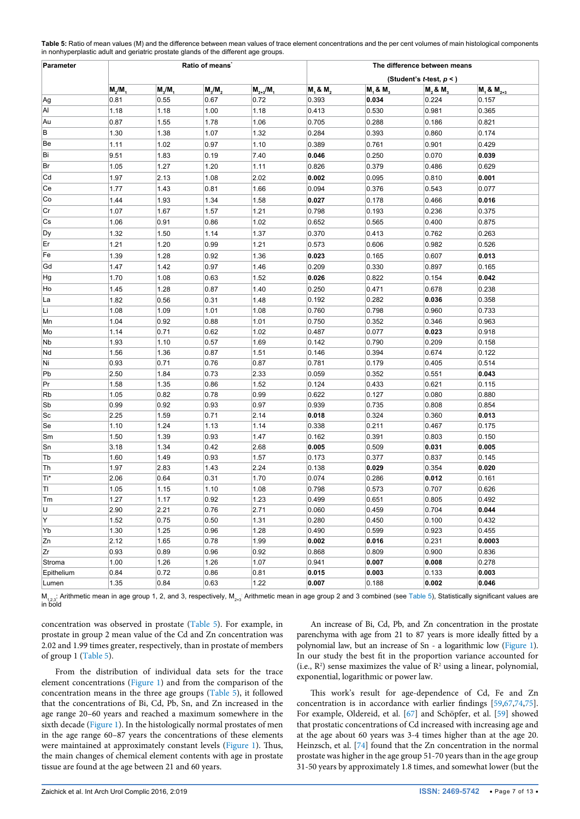| Parameter  | Ratio of means' |              |                       |               | The difference between means<br>(Student's <i>t</i> -test, $p <$ ) |                |                |                   |  |
|------------|-----------------|--------------|-----------------------|---------------|--------------------------------------------------------------------|----------------|----------------|-------------------|--|
|            |                 |              |                       |               |                                                                    |                |                |                   |  |
|            | $M_2/M_1$       | $M_3/M_1$    | $M_{\rm g}/M_{\rm g}$ | $M_{2+3}/M_1$ | M, 8, M,                                                           | $M_1$ & $M_3$  | M, 8, M        | $M_1$ & $M_{2+3}$ |  |
| Ag         | 0.81            | 0.55         | 0.67                  | 0.72          | 0.393                                                              | 0.034          | 0.224          | 0.157             |  |
| Al         | 1.18            | 1.18         | 1.00                  | 1.18          | 0.413                                                              | 0.530          | 0.981          | 0.365             |  |
| Au         | 0.87            | 1.55         | 1.78                  | 1.06          | 0.705                                                              | 0.288          | 0.186          | 0.821             |  |
| В          | 1.30            | 1.38         | 1.07                  | 1.32          | 0.284                                                              | 0.393          | 0.860          | 0.174             |  |
| Be         | 1.11            | 1.02         | 0.97                  | 1.10          | 0.389                                                              | 0.761          | 0.901          | 0.429             |  |
| Bi         | 9.51            | 1.83         | 0.19                  | 7.40          | 0.046                                                              | 0.250          | 0.070          | 0.039             |  |
| Br         | 1.05            | 1.27         | 1.20                  | 1.11          | 0.826                                                              | 0.379          | 0.486          | 0.629             |  |
| Cd         | 1.97            | 2.13         | 1.08                  | 2.02          | 0.002                                                              | 0.095          | 0.810          | 0.001             |  |
| Ce         | 1.77            | 1.43         | 0.81                  | 1.66          | 0.094                                                              | 0.376          | 0.543          | 0.077             |  |
| Co         | 1.44            | 1.93         | 1.34                  | 1.58          | 0.027                                                              | 0.178          | 0.466          | 0.016             |  |
| Cr         | 1.07            | 1.67         | 1.57                  | 1.21          | 0.798                                                              | 0.193          | 0.236          | 0.375             |  |
| Cs         | 1.06            | 0.91         | 0.86                  | 1.02          | 0.652                                                              | 0.565          | 0.400          | 0.875             |  |
| Dy         | 1.32            | 1.50         | 1.14                  | 1.37          | 0.370                                                              | 0.413          | 0.762          | 0.263             |  |
| Er         |                 |              |                       |               |                                                                    |                |                |                   |  |
|            | 1.21            | 1.20         | 0.99                  | 1.21          | 0.573                                                              | 0.606          | 0.982          | 0.526             |  |
| Fe         | 1.39            | 1.28         | 0.92                  | 1.36          | 0.023                                                              | 0.165          | 0.607          | 0.013             |  |
| Gd         | 1.47            | 1.42         | 0.97                  | 1.46          | 0.209                                                              | 0.330          | 0.897          | 0.165             |  |
| Hg         | 1.70            | 1.08         | 0.63                  | 1.52          | 0.026                                                              | 0.822          | 0.154          | 0.042             |  |
| Ho         | 1.45            | 1.28         | 0.87                  | 1.40          | 0.250                                                              | 0.471          | 0.678          | 0.238             |  |
| La         | 1.82            | 0.56         | 0.31                  | 1.48          | 0.192                                                              | 0.282          | 0.036          | 0.358             |  |
| Li         | 1.08            | 1.09         | 1.01                  | 1.08          | 0.760                                                              | 0.798          | 0.960          | 0.733             |  |
| Mn         | 1.04            | 0.92         | 0.88                  | 1.01          | 0.750                                                              | 0.352          | 0.346          | 0.963             |  |
| Mo         | 1.14            | 0.71         | 0.62                  | 1.02          | 0.487                                                              | 0.077          | 0.023          | 0.918             |  |
| Nb         | 1.93            | 1.10         | 0.57                  | 1.69          | 0.142                                                              | 0.790          | 0.209          | 0.158             |  |
| Nd         | 1.56            | 1.36         | 0.87                  | 1.51          | 0.146                                                              | 0.394          | 0.674          | 0.122             |  |
| Ni         | 0.93            | 0.71         | 0.76                  | 0.87          | 0.781                                                              | 0.179          | 0.405          | 0.514             |  |
| Pb         | 2.50            | 1.84         | 0.73                  | 2.33          | 0.059                                                              | 0.352          | 0.551          | 0.043             |  |
| Pr         | 1.58            | 1.35         | 0.86                  | 1.52          | 0.124                                                              | 0.433          | 0.621          | 0.115             |  |
| <b>Rb</b>  | 1.05            | 0.82         | 0.78                  | 0.99          | 0.622                                                              | 0.127          | 0.080          | 0.880             |  |
| Sb         | 0.99            | 0.92         | 0.93                  | 0.97          | 0.939                                                              | 0.735          | 0.808          | 0.854             |  |
| Sc         | 2.25            | 1.59<br>1.24 | 0.71                  | 2.14          | 0.018<br>0.338                                                     | 0.324          | 0.360          | 0.013             |  |
| Se         | 1.10            |              | 1.13                  | 1.14          |                                                                    | 0.211          | 0.467          | 0.175             |  |
| Sm<br>Sn   | 1.50<br>3.18    | 1.39<br>1.34 | 0.93<br>0.42          | 1.47<br>2.68  | 0.162<br>0.005                                                     | 0.391<br>0.509 | 0.803<br>0.031 | 0.150<br>0.005    |  |
|            | 1.60            | 1.49         | 0.93                  | 1.57          | 0.173                                                              | 0.377          | 0.837          |                   |  |
| Tb<br>Th   | 1.97            | 2.83         | 1.43                  | 2.24          | 0.138                                                              | 0.029          | 0.354          | 0.145<br>0.020    |  |
| Ti*        | 2.06            | 0.64         | 0.31                  | 1.70          | 0.074                                                              | 0.286          | 0.012          | 0.161             |  |
| Π          | 1.05            | 1.15         | 1.10                  | 1.08          | 0.798                                                              | 0.573          | 0.707          | 0.626             |  |
| Tm         | 1.27            | 1.17         | 0.92                  | 1.23          | 0.499                                                              | 0.651          | 0.805          | 0.492             |  |
| U          | 2.90            | 2.21         | 0.76                  | 2.71          | 0.060                                                              | 0.459          | 0.704          | 0.044             |  |
| Y          | 1.52            | 0.75         | 0.50                  | 1.31          | 0.280                                                              | 0.450          | 0.100          | 0.432             |  |
| Yb         | 1.30            | 1.25         | 0.96                  | 1.28          | 0.490                                                              | 0.599          | 0.923          | 0.455             |  |
| Zn         | 2.12            | 1.65         | 0.78                  | 1.99          | 0.002                                                              | 0.016          | 0.231          | 0.0003            |  |
| Zr         | 0.93            | 0.89         | 0.96                  | 0.92          | 0.868                                                              | 0.809          | 0.900          | 0.836             |  |
| Stroma     | 1.00            | 1.26         | 1.26                  | 1.07          | 0.941                                                              | 0.007          | 0.008          | 0.278             |  |
| Epithelium | 0.84            | 0.72         | 0.86                  | 0.81          | 0.015                                                              | 0.003          | 0.133          | 0.003             |  |
| Lumen      | 1.35            | 0.84         | 0.63                  | 1.22          | 0.007                                                              | 0.188          | 0.002          | 0.046             |  |

<span id="page-6-0"></span>**Table 5:** Ratio of mean values (M) and the difference between mean values of trace element concentrations and the per cent volumes of main histological components in nonhyperplastic adult and geriatric prostate glands of the different age groups.

 $\mathsf{M}_{1,2,3}$ : Arithmetic mean in age group 1, 2, and 3, respectively,  $\mathsf{M}_{2*3}$  Arithmetic mean in age group 2 and 3 combined (see [Table 5](#page-6-0)), Statistically significant values are in bold

concentration was observed in prostate [\(Table 5](#page-6-0)). For example, in prostate in group 2 mean value of the Cd and Zn concentration was 2.02 and 1.99 times greater, respectively, than in prostate of members of group 1 ([Table 5\)](#page-6-0).

From the distribution of individual data sets for the trace element concentrations [\(Figure 1\)](#page-8-0) and from the comparison of the concentration means in the three age groups [\(Table 5\)](#page-6-0), it followed that the concentrations of Bi, Cd, Pb, Sn, and Zn increased in the age range 20–60 years and reached a maximum somewhere in the sixth decade [\(Figure 1\)](#page-8-0). In the histologically normal prostates of men in the age range 60–87 years the concentrations of these elements were maintained at approximately constant levels ([Figure 1\)](#page-8-0). Thus, the main changes of chemical element contents with age in prostate tissue are found at the age between 21 and 60 years.

An increase of Bi, Cd, Pb, and Zn concentration in the prostate parenchyma with age from 21 to 87 years is more ideally fitted by a polynomial law, but an increase of Sn - a logarithmic low [\(Figure 1\)](#page-8-0). In our study the best fit in the proportion variance accounted for  $(i.e., R<sup>2</sup>)$  sense maximizes the value of  $R<sup>2</sup>$  using a linear, polynomial, exponential, logarithmic or power law.

This work's result for age-dependence of Cd, Fe and Zn concentration is in accordance with earlier findings [[59,](#page-11-31)[67](#page-12-7)[,74,](#page-12-13)[75\]](#page-12-14). For example, Oldereid, et al. [\[67\]](#page-12-7) and Schöpfer, et al. [\[59](#page-11-31)] showed that prostatic concentrations of Cd increased with increasing age and at the age about 60 years was 3-4 times higher than at the age 20. Heinzsch, et al. [\[74](#page-12-13)] found that the Zn concentration in the normal prostate was higher in the age group 51-70 years than in the age group 31-50 years by approximately 1.8 times, and somewhat lower (but the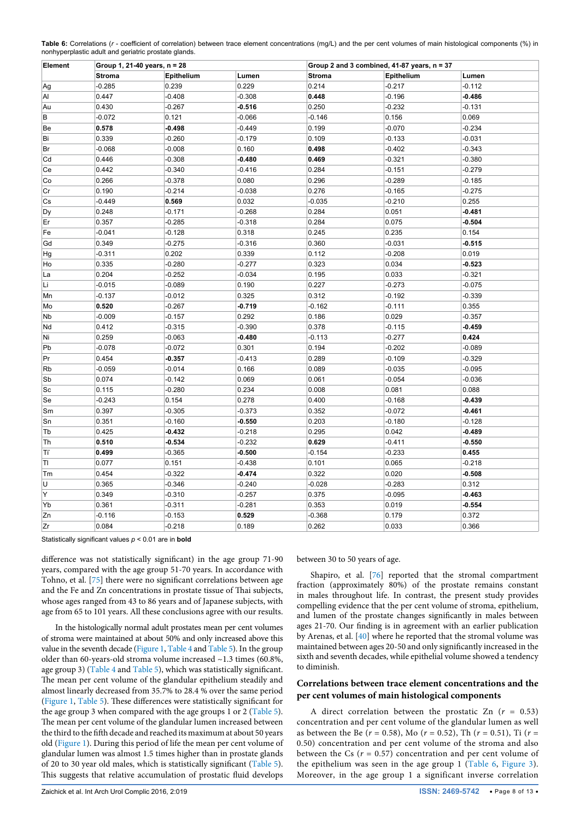<span id="page-7-0"></span>

|                                                      | Table 6: Correlations (r - coefficient of correlation) between trace element concentrations (mg/L) and the per cent volumes of main histological components (%) in |  |
|------------------------------------------------------|--------------------------------------------------------------------------------------------------------------------------------------------------------------------|--|
| nonhyperplastic adult and geriatric prostate glands. |                                                                                                                                                                    |  |

| Element   | Group 1, 21-40 years, n = 28 |            |          |               | Group 2 and 3 combined, 41-87 years, n = 37 |          |  |  |
|-----------|------------------------------|------------|----------|---------------|---------------------------------------------|----------|--|--|
|           | <b>Stroma</b>                | Epithelium | Lumen    | <b>Stroma</b> | Epithelium                                  | Lumen    |  |  |
| Ag        | $-0.285$                     | 0.239      | 0.229    | 0.214         | $-0.217$                                    | $-0.112$ |  |  |
| Al        | 0.447                        | $-0.408$   | $-0.308$ | 0.448         | $-0.196$                                    | $-0.486$ |  |  |
| Au        | 0.430                        | $-0.267$   | $-0.516$ | 0.250         | $-0.232$                                    | $-0.131$ |  |  |
| B         | $-0.072$                     | 0.121      | $-0.066$ | $-0.146$      | 0.156                                       | 0.069    |  |  |
| Be        | 0.578                        | $-0.498$   | $-0.449$ | 0.199         | $-0.070$                                    | $-0.234$ |  |  |
| Bi        | 0.339                        | $-0.260$   | $-0.179$ | 0.109         | $-0.133$                                    | $-0.031$ |  |  |
| Br        | $-0.068$                     | $-0.008$   | 0.160    | 0.498         | $-0.402$                                    | $-0.343$ |  |  |
| Cd        | 0.446                        | $-0.308$   | $-0.480$ | 0.469         | $-0.321$                                    | $-0.380$ |  |  |
| Ce        | 0.442                        | $-0.340$   | $-0.416$ | 0.284         | $-0.151$                                    | $-0.279$ |  |  |
| Co        | 0.266                        | $-0.378$   | 0.080    | 0.296         | $-0.289$                                    | $-0.185$ |  |  |
| Cr        | 0.190                        | $-0.214$   | $-0.038$ | 0.276         | $-0.165$                                    | $-0.275$ |  |  |
| Cs        | $-0.449$                     | 0.569      | 0.032    | $-0.035$      | $-0.210$                                    | 0.255    |  |  |
| Dy        | 0.248                        | $-0.171$   | $-0.268$ | 0.284         | 0.051                                       | $-0.481$ |  |  |
| Er        | 0.357                        | $-0.285$   | $-0.318$ | 0.284         | 0.075                                       | $-0.504$ |  |  |
| Fe        | $-0.041$                     | $-0.128$   | 0.318    | 0.245         | 0.235                                       | 0.154    |  |  |
| Gd        | 0.349                        | $-0.275$   | $-0.316$ | 0.360         | $-0.031$                                    | $-0.515$ |  |  |
| Hg        | $-0.311$                     | 0.202      | 0.339    | 0.112         | $-0.208$                                    | 0.019    |  |  |
| Ho        | 0.335                        | $-0.280$   | $-0.277$ | 0.323         | 0.034                                       | $-0.523$ |  |  |
| La        | 0.204                        | $-0.252$   | $-0.034$ | 0.195         | 0.033                                       | $-0.321$ |  |  |
| Li        | $-0.015$                     | $-0.089$   | 0.190    | 0.227         | $-0.273$                                    | $-0.075$ |  |  |
| Mn        | $-0.137$                     | $-0.012$   | 0.325    | 0.312         | $-0.192$                                    | $-0.339$ |  |  |
| Mo        | 0.520                        | $-0.267$   | $-0.719$ | $-0.162$      | $-0.111$                                    | 0.355    |  |  |
| Nb        | $-0.009$                     | $-0.157$   | 0.292    | 0.186         | 0.029                                       | $-0.357$ |  |  |
| Nd        | 0.412                        | $-0.315$   | $-0.390$ | 0.378         | $-0.115$                                    | $-0.459$ |  |  |
| Ni        | 0.259                        | $-0.063$   | $-0.480$ | $-0.113$      | $-0.277$                                    | 0.424    |  |  |
| Pb        | $-0.078$                     | $-0.072$   | 0.301    | 0.194         | $-0.202$                                    | $-0.089$ |  |  |
| Pr        | 0.454                        | $-0.357$   | $-0.413$ | 0.289         | $-0.109$                                    | $-0.329$ |  |  |
| <b>Rb</b> | $-0.059$                     | $-0.014$   | 0.166    | 0.089         | $-0.035$                                    | $-0.095$ |  |  |
| Sb        | 0.074                        | $-0.142$   | 0.069    | 0.061         | $-0.054$                                    | $-0.036$ |  |  |
| Sc        | 0.115                        | $-0.280$   | 0.234    | 0.008         | 0.081                                       | 0.088    |  |  |
| Se        | $-0.243$                     | 0.154      | 0.278    | 0.400         | $-0.168$                                    | $-0.439$ |  |  |
| Sm        | 0.397                        | $-0.305$   | $-0.373$ | 0.352         | $-0.072$                                    | $-0.461$ |  |  |
| Sn        | 0.351                        | $-0.160$   | $-0.550$ | 0.203         | $-0.180$                                    | $-0.128$ |  |  |
| Tb        | 0.425                        | $-0.432$   | $-0.218$ | 0.295         | 0.042                                       | $-0.489$ |  |  |
| Th        | 0.510                        | $-0.534$   | $-0.232$ | 0.629         | $-0.411$                                    | $-0.550$ |  |  |
| Τï        | 0.499                        | $-0.365$   | $-0.500$ | $-0.154$      | $-0.233$                                    | 0.455    |  |  |
| TI        | 0.077                        | 0.151      | $-0.438$ | 0.101         | 0.065                                       | $-0.218$ |  |  |
| Тm        | 0.454                        | $-0.322$   | $-0.474$ | 0.322         | 0.020                                       | $-0.508$ |  |  |
| U         | 0.365                        | $-0.346$   | $-0.240$ | $-0.028$      | $-0.283$                                    | 0.312    |  |  |
| Υ         | 0.349                        | $-0.310$   | $-0.257$ | 0.375         | $-0.095$                                    | $-0.463$ |  |  |
| Yb        | 0.361                        | $-0.311$   | $-0.281$ | 0.353         | 0.019                                       | $-0.554$ |  |  |
| Zn        | $-0.116$                     | $-0.153$   | 0.529    | $-0.368$      | 0.179                                       | 0.372    |  |  |
| Zr        | 0.084                        | $-0.218$   | 0.189    | 0.262         | 0.033                                       | 0.366    |  |  |

Statistically significant values *p* < 0.01 are in **bold**

difference was not statistically significant) in the age group 71-90 years, compared with the age group 51-70 years. In accordance with Tohno, et al. [\[75\]](#page-12-14) there were no significant correlations between age and the Fe and Zn concentrations in prostate tissue of Thai subjects, whose ages ranged from 43 to 86 years and of Japanese subjects, with age from 65 to 101 years. All these conclusions agree with our results.

In the histologically normal adult prostates mean per cent volumes of stroma were maintained at about 50% and only increased above this value in the seventh decade [\(Figure 1](#page-8-0), [Table 4](#page-5-0) and [Table 5\)](#page-6-0). In the group older than 60-years-old stroma volume increased ~1.3 times (60.8%, age group 3) [\(Table 4](#page-5-0) and [Table 5\)](#page-6-0), which was statistically significant. The mean per cent volume of the glandular epithelium steadily and almost linearly decreased from 35.7% to 28.4 % over the same period ([Figure 1,](#page-8-0) [Table 5\)](#page-6-0). These differences were statistically significant for the age group 3 when compared with the age groups 1 or 2 ([Table 5](#page-6-0)). The mean per cent volume of the glandular lumen increased between the third to the fifth decade and reached its maximum at about 50 years old [\(Figure 1\)](#page-8-0). During this period of life the mean per cent volume of glandular lumen was almost 1.5 times higher than in prostate glands of 20 to 30 year old males, which is statistically significant ([Table 5](#page-6-0)). This suggests that relative accumulation of prostatic fluid develops between 30 to 50 years of age.

Shapiro, et al. [\[76\]](#page-12-15) reported that the stromal compartment fraction (approximately 80%) of the prostate remains constant in males throughout life. In contrast, the present study provides compelling evidence that the per cent volume of stroma, epithelium, and lumen of the prostate changes significantly in males between ages 21-70. Our finding is in agreement with an earlier publication by Arenas, et al. [[40\]](#page-11-15) where he reported that the stromal volume was maintained between ages 20-50 and only significantly increased in the sixth and seventh decades, while epithelial volume showed a tendency to diminish.

#### **Correlations between trace element concentrations and the per cent volumes of main histological components**

A direct correlation between the prostatic Zn  $(r = 0.53)$ concentration and per cent volume of the glandular lumen as well as between the Be (*r* = 0.58), Mo (*r* = 0.52), Th (*r* = 0.51), Ti (*r* = 0.50) concentration and per cent volume of the stroma and also between the Cs  $(r = 0.57)$  concentration and per cent volume of the epithelium was seen in the age group 1 ([Table 6,](#page-7-0) [Figure 3](#page-9-1)). Moreover, in the age group 1 a significant inverse correlation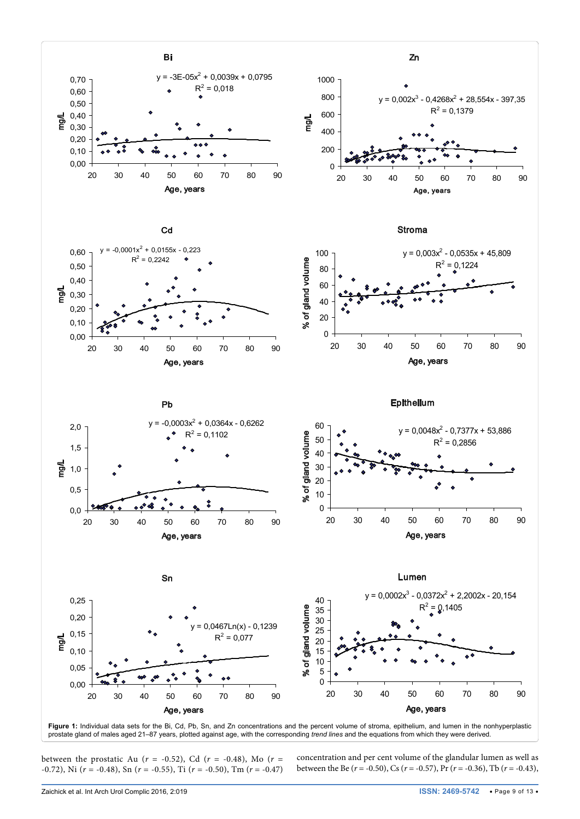<span id="page-8-0"></span>

Figure 1: Individual data sets for the Bi, Cd, Pb, Sn, and Zn concentrations and the percent volume of stroma, epithelium, and lumen in the nonhyperplastic prostate gland of males aged 21–87 years, plotted against age, with the corresponding *trend lines* and the equations from which they were derived*.*

between the prostatic Au (*r* = -0.52), Cd (*r* = -0.48), Mo (*r* = -0.72), Ni (*r* = -0.48), Sn (*r* = -0.55), Ti (*r* = -0.50), Tm (*r* = -0.47) concentration and per cent volume of the glandular lumen as well as between the Be (*r* = -0.50), Cs (*r* = -0.57), Pr (*r* = -0.36), Tb (*r* = -0.43),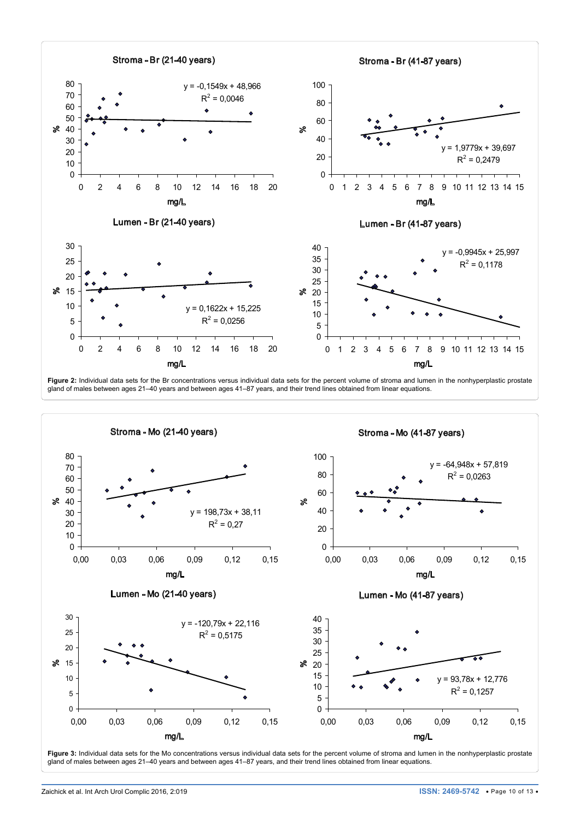<span id="page-9-0"></span>

Figure 2: Individual data sets for the Br concentrations versus individual data sets for the percent volume of stroma and lumen in the nonhyperplastic prostate gland of males between ages 21–40 years and between ages 41–87 years, and their trend lines obtained from linear equations.

<span id="page-9-1"></span>

Figure 3: Individual data sets for the Mo concentrations versus individual data sets for the percent volume of stroma and lumen in the nonhyperplastic prostate gland of males between ages 21–40 years and between ages 41–87 years, and their trend lines obtained from linear equations.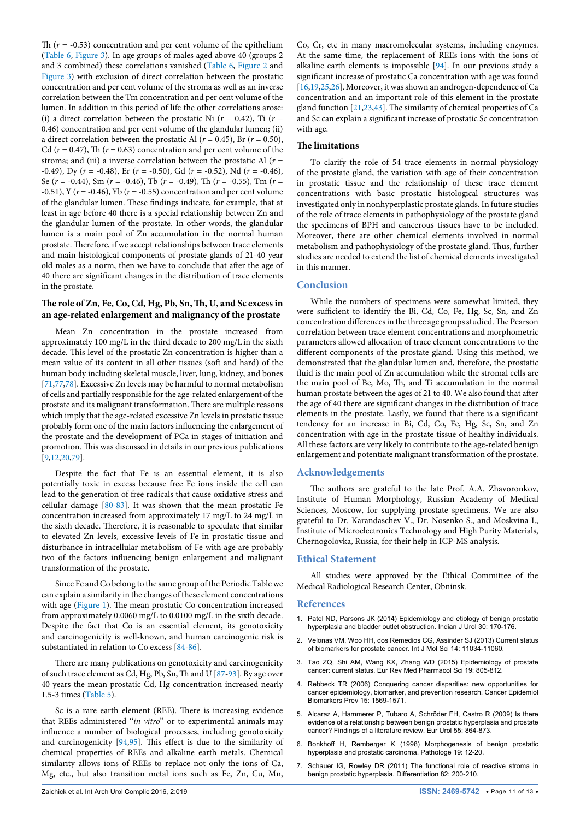Th  $(r = -0.53)$  concentration and per cent volume of the epithelium ([Table 6,](#page-7-0) [Figure 3\)](#page-9-1). In age groups of males aged above 40 (groups 2 and 3 combined) these correlations vanished [\(Table 6](#page-7-0), [Figure 2](#page-9-0) and [Figure 3](#page-9-1)) with exclusion of direct correlation between the prostatic concentration and per cent volume of the stroma as well as an inverse correlation between the Tm concentration and per cent volume of the lumen. In addition in this period of life the other correlations arose: (i) a direct correlation between the prostatic Ni  $(r = 0.42)$ , Ti  $(r =$ 0.46) concentration and per cent volume of the glandular lumen; (ii) a direct correlation between the prostatic Al ( $r = 0.45$ ), Br ( $r = 0.50$ ), Cd ( $r = 0.47$ ), Th ( $r = 0.63$ ) concentration and per cent volume of the stroma; and (iii) a inverse correlation between the prostatic Al  $(r =$ -0.49), Dy (*r* = -0.48), Er (*r* = -0.50), Gd (*r* = -0.52), Nd (*r* = -0.46), Se (*r* = -0.44), Sm (*r* = -0.46), Tb (*r* = -0.49), Th (*r* = -0.55), Tm (*r* = -0.51), Y (*r* = -0.46), Yb (*r* = -0.55) concentration and per cent volume of the glandular lumen. These findings indicate, for example, that at least in age before 40 there is a special relationship between Zn and the glandular lumen of the prostate. In other words, the glandular lumen is a main pool of Zn accumulation in the normal human prostate. Therefore, if we accept relationships between trace elements and main histological components of prostate glands of 21-40 year old males as a norm, then we have to conclude that after the age of 40 there are significant changes in the distribution of trace elements in the prostate.

## **The role of Zn, Fe, Co, Cd, Hg, Pb, Sn, Th, U, and Sc excess in an age-related enlargement and malignancy of the prostate**

Mean Zn concentration in the prostate increased from approximately 100 mg/L in the third decade to 200 mg/L in the sixth decade. This level of the prostatic Zn concentration is higher than a mean value of its content in all other tissues (soft and hard) of the human body including skeletal muscle, liver, lung, kidney, and bones [[71](#page-12-12)[,77,](#page-12-17)[78\]](#page-12-18). Excessive Zn levels may be harmful to normal metabolism of cells and partially responsible for the age-related enlargement of the prostate and its malignant transformation. There are multiple reasons which imply that the age-related excessive Zn levels in prostatic tissue probably form one of the main factors influencing the enlargement of the prostate and the development of PCa in stages of initiation and promotion. This was discussed in details in our previous publications [[9,](#page-11-38)[12,](#page-11-39)[20](#page-11-4)[,79](#page-12-19)].

Despite the fact that Fe is an essential element, it is also potentially toxic in excess because free Fe ions inside the cell can lead to the generation of free radicals that cause oxidative stress and cellular damage [\[80](#page-12-20)[-83\]](#page-12-21). It was shown that the mean prostatic Fe concentration increased from approximately 17 mg/L to 24 mg/L in the sixth decade. Therefore, it is reasonable to speculate that similar to elevated Zn levels, excessive levels of Fe in prostatic tissue and disturbance in intracellular metabolism of Fe with age are probably two of the factors influencing benign enlargement and malignant transformation of the prostate.

Since Fe and Co belong to the same group of the Periodic Table we can explain a similarity in the changes of these element concentrations with age ([Figure 1](#page-8-0)). The mean prostatic Co concentration increased from approximately 0.0060 mg/L to 0.0100 mg/L in the sixth decade. Despite the fact that Co is an essential element, its genotoxicity and carcinogenicity is well-known, and human carcinogenic risk is substantiated in relation to Co excess [[84](#page-12-22)[-86\]](#page-12-23).

There are many publications on genotoxicity and carcinogenicity of such trace element as Cd, Hg, Pb, Sn, Th and U [\[87](#page-12-24)[-93\]](#page-12-25). By age over 40 years the mean prostatic Cd, Hg concentration increased nearly 1.5-3 times ([Table 5](#page-6-0)).

Sc is a rare earth element (REE). There is increasing evidence that REEs administered ''*in vitro*'' or to experimental animals may influence a number of biological processes, including genotoxicity and carcinogenicity [\[94,](#page-12-16)[95](#page-12-26)]. This effect is due to the similarity of chemical properties of REEs and alkaline earth metals. Chemical similarity allows ions of REEs to replace not only the ions of Ca, Mg, etc., but also transition metal ions such as Fe, Zn, Cu, Mn,

Co, Cr, etc in many macromolecular systems, including enzymes. At the same time, the replacement of REEs ions with the ions of alkaline earth elements is impossible [\[94\]](#page-12-16). In our previous study a significant increase of prostatic Ca concentration with age was found [[16](#page-11-32),[19](#page-11-3)[,25,](#page-11-33)[26\]](#page-11-34). Moreover, it was shown an androgen-dependence of Ca concentration and an important role of this element in the prostate gland function [[21](#page-11-35)[,23](#page-11-36)[,43\]](#page-11-37). The similarity of chemical properties of Ca and Sc can explain a significant increase of prostatic Sc concentration with age.

## **The limitations**

To clarify the role of 54 trace elements in normal physiology of the prostate gland, the variation with age of their concentration in prostatic tissue and the relationship of these trace element concentrations with basic prostatic histological structures was investigated only in nonhyperplastic prostate glands. In future studies of the role of trace elements in pathophysiology of the prostate gland the specimens of BPH and cancerous tissues have to be included. Moreover, there are other chemical elements involved in normal metabolism and pathophysiology of the prostate gland. Thus, further studies are needed to extend the list of chemical elements investigated in this manner.

## **Conclusion**

While the numbers of specimens were somewhat limited, they were sufficient to identify the Bi, Cd, Co, Fe, Hg, Sc, Sn, and Zn concentration differences in the three age groups studied. The Pearson correlation between trace element concentrations and morphometric parameters allowed allocation of trace element concentrations to the different components of the prostate gland. Using this method, we demonstrated that the glandular lumen and, therefore, the prostatic fluid is the main pool of Zn accumulation while the stromal cells are the main pool of Be, Mo, Th, and Ti accumulation in the normal human prostate between the ages of 21 to 40. We also found that after the age of 40 there are significant changes in the distribution of trace elements in the prostate. Lastly, we found that there is a significant tendency for an increase in Bi, Cd, Co, Fe, Hg, Sc, Sn, and Zn concentration with age in the prostate tissue of healthy individuals. All these factors are very likely to contribute to the age-related benign enlargement and potentiate malignant transformation of the prostate.

## **Acknowledgements**

The authors are grateful to the late Prof. A.A. Zhavoronkov, Institute of Human Morphology, Russian Academy of Medical Sciences, Moscow, for supplying prostate specimens. We are also grateful to Dr. Karandaschev V., Dr. Nosenko S., and Moskvina I., Institute of Microelectronics Technology and High Purity Materials, Chernogolovka, Russia, for their help in ICP-MS analysis.

#### **Ethical Statement**

All studies were approved by the Ethical Committee of the Medical Radiological Research Center, Obninsk.

#### **References**

- <span id="page-10-5"></span>1. [Patel ND, Parsons JK \(2014\) Epidemiology and etiology of benign prostatic](https://www.ncbi.nlm.nih.gov/pubmed/24744516)  [hyperplasia and bladder outlet obstruction. Indian J Urol 30: 170-176.](https://www.ncbi.nlm.nih.gov/pubmed/24744516)
- <span id="page-10-6"></span>2. [Velonas VM, Woo HH, dos Remedios CG, Assinder SJ \(2013\) Current status](https://www.ncbi.nlm.nih.gov/pubmed/23708103)  [of biomarkers for prostate cancer. Int J Mol Sci 14: 11034-11060.](https://www.ncbi.nlm.nih.gov/pubmed/23708103)
- <span id="page-10-0"></span>3. [Tao ZQ, Shi AM, Wang KX, Zhang WD \(2015\) Epidemiology of prostate](https://www.ncbi.nlm.nih.gov/pubmed/25807434)  [cancer: current status. Eur Rev Med Pharmacol Sci 19: 805-812.](https://www.ncbi.nlm.nih.gov/pubmed/25807434)
- <span id="page-10-1"></span>4. [Rebbeck TR \(2006\) Conquering cancer disparities: new opportunities for](https://www.ncbi.nlm.nih.gov/pubmed/16985011)  [cancer epidemiology, biomarker, and prevention research. Cancer Epidemiol](https://www.ncbi.nlm.nih.gov/pubmed/16985011)  [Biomarkers Prev 15: 1569-1571.](https://www.ncbi.nlm.nih.gov/pubmed/16985011)
- <span id="page-10-2"></span>5. [Alcaraz A, Hammerer P, Tubaro A, Schröder FH, Castro R \(2009\) Is there](https://www.ncbi.nlm.nih.gov/pubmed/19027219)  [evidence of a relationship between benign prostatic hyperplasia and prostate](https://www.ncbi.nlm.nih.gov/pubmed/19027219)  [cancer? Findings of a literature review. Eur Urol 55: 864-873.](https://www.ncbi.nlm.nih.gov/pubmed/19027219)
- <span id="page-10-3"></span>6. [Bonkhoff H, Remberger K \(1998\) Morphogenesis of benign prostatic](https://www.ncbi.nlm.nih.gov/pubmed/9541938)  [hyperplasia and prostatic carcinoma. Pathologe 19: 12-20.](https://www.ncbi.nlm.nih.gov/pubmed/9541938)
- <span id="page-10-4"></span>7. [Schauer IG, Rowley DR \(2011\) The functional role of reactive stroma in](https://www.ncbi.nlm.nih.gov/pubmed/21664759)  [benign prostatic hyperplasia. Differentiation 82: 200-210.](https://www.ncbi.nlm.nih.gov/pubmed/21664759)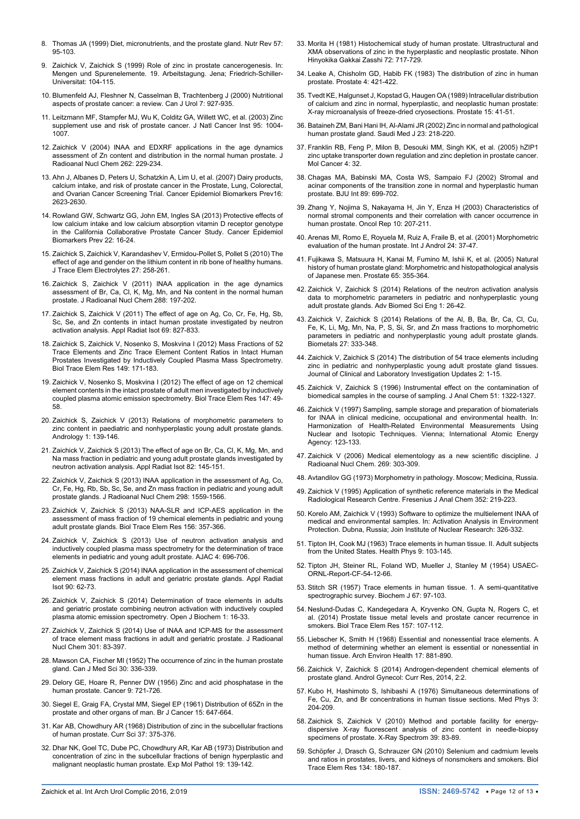- <span id="page-11-0"></span>8. [Thomas JA \(1999\) Diet, micronutrients, and the prostate gland. Nutr Rev 57:](https://www.ncbi.nlm.nih.gov/pubmed/10228346)  [95-103.](https://www.ncbi.nlm.nih.gov/pubmed/10228346)
- <span id="page-11-38"></span>9. Zaichick V, Zaichick S (1999) Role of zinc in prostate cancerogenesis. In: Mengen und Spurenelemente. 19. Arbeitstagung. Jena; Friedrich-Schiller-Universitat: 104-115.
- 10. [Blumenfeld AJ, Fleshner N, Casselman B, Trachtenberg J \(2000\) Nutritional](https://www.ncbi.nlm.nih.gov/pubmed/11121247)  [aspects of prostate cancer: a review. Can J Urol 7: 927-935](https://www.ncbi.nlm.nih.gov/pubmed/11121247).
- 11. [Leitzmann MF, Stampfer MJ, Wu K, Colditz GA, Willett WC, et al. \(2003\) Zinc](https://www.ncbi.nlm.nih.gov/pubmed/12837837)  [supplement use and risk of prostate cancer. J Natl Cancer Inst 95: 1004-](https://www.ncbi.nlm.nih.gov/pubmed/12837837) [1007.](https://www.ncbi.nlm.nih.gov/pubmed/12837837)
- <span id="page-11-39"></span>12. [Zaichick V \(2004\) INAA and EDXRF applications in the age dynamics](http://www.akademiai.com/doi/abs/10.1023/B%3AJRNC.0000040879.45030.4f?journalCode=10967)  assessment of Zn content and distribution in the normal human prostate. J [Radioanal Nucl Chem 262: 229-234.](http://www.akademiai.com/doi/abs/10.1023/B%3AJRNC.0000040879.45030.4f?journalCode=10967)
- 13. [Ahn J, Albanes D, Peters U, Schatzkin A, Lim U, et al. \(2007\) Dairy products,](https://www.ncbi.nlm.nih.gov/pubmed/18086766)  [calcium intake, and risk of prostate cancer in the Prostate, Lung, Colorectal,](https://www.ncbi.nlm.nih.gov/pubmed/18086766)  [and Ovarian Cancer Screening Trial. Cancer Epidemiol Biomarkers Prev16:](https://www.ncbi.nlm.nih.gov/pubmed/18086766)  [2623-2630.](https://www.ncbi.nlm.nih.gov/pubmed/18086766)
- <span id="page-11-1"></span>14. [Rowland GW, Schwartz GG, John EM, Ingles SA \(2013\) Protective effects of](https://www.ncbi.nlm.nih.gov/pubmed/23129590)  [low calcium intake and low calcium absorption vitamin D receptor genotype](https://www.ncbi.nlm.nih.gov/pubmed/23129590)  [in the California Collaborative Prostate Cancer Study. Cancer Epidemiol](https://www.ncbi.nlm.nih.gov/pubmed/23129590)  [Biomarkers Prev 22: 16-24.](https://www.ncbi.nlm.nih.gov/pubmed/23129590)
- <span id="page-11-2"></span>15. [Zaichick S, Zaichick V, Karandashev V, Ermidou-Pollet S, Pollet S \(2010\) The](http://web.b.ebscohost.com/abstract?direct=true&profile=ehost&scope=site&authtype=crawler&jrnl=09462104&AN=54847070&h=A4Ri4KAicIts1S6sJ2LotLn6POow0xrV7YOZyf7s7iMyXLliifUaDHSxk%2bFa4H8ZSnTCDdfAyTZvWUmydXqKbA%3d%3d&crl=f&resultNs=AdminWebAuth&resultLocal=ErrCrlNotAuth&crlhashurl=login.aspx%3fdirect%3dtrue%26profile%3dehost%26scope%3dsite%26authtype%3dcrawler%26jrnl%3d09462104%26AN%3d54847070)  [effect of age and gender on the lithium content in rib bone of healthy humans.](http://web.b.ebscohost.com/abstract?direct=true&profile=ehost&scope=site&authtype=crawler&jrnl=09462104&AN=54847070&h=A4Ri4KAicIts1S6sJ2LotLn6POow0xrV7YOZyf7s7iMyXLliifUaDHSxk%2bFa4H8ZSnTCDdfAyTZvWUmydXqKbA%3d%3d&crl=f&resultNs=AdminWebAuth&resultLocal=ErrCrlNotAuth&crlhashurl=login.aspx%3fdirect%3dtrue%26profile%3dehost%26scope%3dsite%26authtype%3dcrawler%26jrnl%3d09462104%26AN%3d54847070)  [J Trace Elem Electrolytes 27: 258-261.](http://web.b.ebscohost.com/abstract?direct=true&profile=ehost&scope=site&authtype=crawler&jrnl=09462104&AN=54847070&h=A4Ri4KAicIts1S6sJ2LotLn6POow0xrV7YOZyf7s7iMyXLliifUaDHSxk%2bFa4H8ZSnTCDdfAyTZvWUmydXqKbA%3d%3d&crl=f&resultNs=AdminWebAuth&resultLocal=ErrCrlNotAuth&crlhashurl=login.aspx%3fdirect%3dtrue%26profile%3dehost%26scope%3dsite%26authtype%3dcrawler%26jrnl%3d09462104%26AN%3d54847070)
- <span id="page-11-32"></span>16. [Zaichick S, Zaichick V \(2011\) INAA application in the age dynamics](http://link.springer.com/article/10.1007/s10967-010-0927-4)  [assessment of Br, Ca, Cl, K, Mg, Mn, and Na content in the normal human](http://link.springer.com/article/10.1007/s10967-010-0927-4)  [prostate. J Radioanal Nucl Chem 288: 197-202.](http://link.springer.com/article/10.1007/s10967-010-0927-4)
- <span id="page-11-8"></span>17. [Zaichick S, Zaichick V \(2011\) The effect of age on Ag, Co, Cr, Fe, Hg, Sb,](http://link.springer.com/article/10.1007/s10967-013-2554-3)  [Sc, Se, and Zn contents in intact human prostate investigated by neutron](http://link.springer.com/article/10.1007/s10967-013-2554-3)  [activation analysis. Appl Radiat Isot 69: 827-833.](http://link.springer.com/article/10.1007/s10967-013-2554-3)
- <span id="page-11-9"></span>18. [Zaichick S, Zaichick V, Nosenko S, Moskvina I \(2012\) Mass Fractions of 52](https://www.ncbi.nlm.nih.gov/pubmed/22549701)  [Trace Elements and Zinc Trace Element Content Ratios in Intact Human](https://www.ncbi.nlm.nih.gov/pubmed/22549701)  [Prostates Investigated by Inductively Coupled Plasma Mass Spectrometry.](https://www.ncbi.nlm.nih.gov/pubmed/22549701)  [Biol Trace Elem Res 149: 171-183.](https://www.ncbi.nlm.nih.gov/pubmed/22549701)
- <span id="page-11-3"></span>19. [Zaichick V, Nosenko S, Moskvina I \(2012\) The effect of age on 12 chemical](https://www.ncbi.nlm.nih.gov/pubmed/22231436)  [element contents in the intact prostate of adult men investigated by inductively](https://www.ncbi.nlm.nih.gov/pubmed/22231436)  [coupled plasma atomic emission spectrometry. Biol Trace Elem Res 147: 49-](https://www.ncbi.nlm.nih.gov/pubmed/22231436) [58.](https://www.ncbi.nlm.nih.gov/pubmed/22231436)
- <span id="page-11-4"></span>20. [Zaichick S, Zaichick V \(2013\) Relations of morphometric parameters to](https://www.ncbi.nlm.nih.gov/pubmed/23258643)  [zinc content in paediatric and nonhyperplastic young adult prostate glands.](https://www.ncbi.nlm.nih.gov/pubmed/23258643)  [Andrology 1: 139-146.](https://www.ncbi.nlm.nih.gov/pubmed/23258643)
- <span id="page-11-35"></span>21. [Zaichick V, Zaichick S \(2013\) The effect of age on Br, Ca, Cl, K, Mg, Mn, and](https://www.ncbi.nlm.nih.gov/pubmed/23994740)  [Na mass fraction in pediatric and young adult prostate glands investigated by](https://www.ncbi.nlm.nih.gov/pubmed/23994740)  [neutron activation analysis. Appl Radiat Isot 82: 145-151.](https://www.ncbi.nlm.nih.gov/pubmed/23994740)
- <span id="page-11-10"></span>22. [Zaichick V, Zaichick S \(2013\) INAA application in the assessment of Ag, Co,](http://link.springer.com/article/10.1007/s10967-013-2554-3)  [Cr, Fe, Hg, Rb, Sb, Sc, Se, and Zn mass fraction in pediatric and young adult](http://link.springer.com/article/10.1007/s10967-013-2554-3)  [prostate glands. J Radioanal Nucl Chem 298: 1559-1566.](http://link.springer.com/article/10.1007/s10967-013-2554-3)
- <span id="page-11-36"></span>23. [Zaichick V, Zaichick S \(2013\) NAA-SLR and ICP-AES application in the](https://www.ncbi.nlm.nih.gov/pubmed/24068488)  [assessment of mass fraction of 19 chemical elements in pediatric and young](https://www.ncbi.nlm.nih.gov/pubmed/24068488)  [adult prostate glands. Biol Trace Elem Res 156: 357-366](https://www.ncbi.nlm.nih.gov/pubmed/24068488).
- <span id="page-11-11"></span>24. [Zaichick V, Zaichick S \(2013\) Use of neutron activation analysis and](http://file.scirp.org/pdf/AJAC_2013120217182676.pdf)  [inductively coupled plasma mass spectrometry for the determination of trace](http://file.scirp.org/pdf/AJAC_2013120217182676.pdf)  [elements in pediatric and young adult prostate. AJAC 4: 696-706.](http://file.scirp.org/pdf/AJAC_2013120217182676.pdf)
- <span id="page-11-33"></span>25. [Zaichick V, Zaichick S \(2014\) INAA application in the assessment of chemical](https://www.ncbi.nlm.nih.gov/pubmed/24704913)  [element mass fractions in adult and geriatric prostate glands. Appl Radiat](https://www.ncbi.nlm.nih.gov/pubmed/24704913)  [Isot 90: 62-73](https://www.ncbi.nlm.nih.gov/pubmed/24704913).
- <span id="page-11-34"></span>26. [Zaichick V, Zaichick S \(2014\) Determination of trace elements in adults](http://www.scipublish.com/journals/BIOC/papers/download/2004-701.pdf)  [and geriatric prostate combining neutron activation with inductively coupled](http://www.scipublish.com/journals/BIOC/papers/download/2004-701.pdf)  [plasma atomic emission spectrometry. Open J Biochem 1: 16-33.](http://www.scipublish.com/journals/BIOC/papers/download/2004-701.pdf)
- <span id="page-11-5"></span>27. [Zaichick V, Zaichick S \(2014\) Use of INAA and ICP-MS for the assessment](http://link.springer.com/article/10.1007/s10967-014-3173-3)  [of trace element mass fractions in adult and geriatric prostate. J Radioanal](http://link.springer.com/article/10.1007/s10967-014-3173-3)  [Nucl Chem 301: 83-397.](http://link.springer.com/article/10.1007/s10967-014-3173-3)
- <span id="page-11-6"></span>28. [Mawson CA, Fischer MI \(1952\) The occurrence of zinc in the human prostate](https://www.ncbi.nlm.nih.gov/pubmed/14954495?dopt=Abstract)  [gland. Can J Med Sci 30: 336-339](https://www.ncbi.nlm.nih.gov/pubmed/14954495?dopt=Abstract).
- 29. [Delory GE, Hoare R, Penner DW \(1956\) Zinc and acid phosphatase in the](https://www.ncbi.nlm.nih.gov/pubmed/13356252)  [human prostate. Cancer 9: 721-726.](https://www.ncbi.nlm.nih.gov/pubmed/13356252)
- 30. [Siegel E, Graig FA, Crystal MM, Siegel EP \(1961\) Distribution of 65Zn in the](https://www.ncbi.nlm.nih.gov/pubmed/13912622)  [prostate and other organs of man. Br J Cancer 15: 647-664.](https://www.ncbi.nlm.nih.gov/pubmed/13912622)
- 31. Kar AB, Chowdhury AR (1968) Distribution of zinc in the subcellular fractions of human prostate. Curr Sci 37: 375-376.
- 32. [Dhar NK, Goel TC, Dube PC, Chowdhury AR, Kar AB \(1973\) Distribution and](https://www.ncbi.nlm.nih.gov/pubmed/4127820)  [concentration of zinc in the subcellular fractions of benign hyperplastic and](https://www.ncbi.nlm.nih.gov/pubmed/4127820)  [malignant neoplastic human prostate. Exp Mol Pathol 19: 139-142.](https://www.ncbi.nlm.nih.gov/pubmed/4127820)
- 33. [Morita H \(1981\) Histochemical study of human prostate. Ultrastructural and](https://www.ncbi.nlm.nih.gov/pubmed/6169865)  [XMA observations of zinc in the hyperplastic and neoplastic prostate. Nihon](https://www.ncbi.nlm.nih.gov/pubmed/6169865)  [Hinyokika Gakkai Zasshi 72: 717-729.](https://www.ncbi.nlm.nih.gov/pubmed/6169865)
- 34. Leake A, Chisholm GD, Habib FK (1983) The distribution of zinc in human prostate. Prostate 4: 421-422.
- 35. [Tvedt KE, Halgunset J, Kopstad G, Haugen OA \(1989\) Intracellular distribution](https://www.ncbi.nlm.nih.gov/pubmed/2477831)  [of calcium and zinc in normal, hyperplastic, and neoplastic human prostate:](https://www.ncbi.nlm.nih.gov/pubmed/2477831)  [X-ray microanalysis of freeze-dried cryosections. Prostate 15: 41-51.](https://www.ncbi.nlm.nih.gov/pubmed/2477831)
- 36. [Bataineh ZM, Bani Hani IH, Al-Alami JR \(2002\) Zinc in normal and pathological](https://www.ncbi.nlm.nih.gov/pubmed/11938400)  [human prostate gland. Saudi Med J 23: 218-220.](https://www.ncbi.nlm.nih.gov/pubmed/11938400)
- <span id="page-11-7"></span>37. [Franklin RB, Feng P, Milon B, Desouki MM, Singh KK, et al. \(2005\) hZIP1](https://www.ncbi.nlm.nih.gov/pubmed/16153295)  [zinc uptake transporter down regulation and zinc depletion in prostate cancer.](https://www.ncbi.nlm.nih.gov/pubmed/16153295)  [Mol Cancer 4: 32.](https://www.ncbi.nlm.nih.gov/pubmed/16153295)
- <span id="page-11-13"></span>38. [Chagas MA, Babinski MA, Costa WS, Sampaio FJ \(2002\) Stromal and](https://www.ncbi.nlm.nih.gov/pubmed/11966627)  [acinar components of the transition zone in normal and hyperplastic human](https://www.ncbi.nlm.nih.gov/pubmed/11966627)  [prostate. BJU Int 89: 699-702.](https://www.ncbi.nlm.nih.gov/pubmed/11966627)
- <span id="page-11-14"></span>39. [Zhang Y, Nojima S, Nakayama H, Jin Y, Enza H \(2003\) Characteristics of](https://www.ncbi.nlm.nih.gov/pubmed/12469170)  [normal stromal components and their correlation with cancer occurrence in](https://www.ncbi.nlm.nih.gov/pubmed/12469170)  [human prostate. Oncol Rep 10: 207-211.](https://www.ncbi.nlm.nih.gov/pubmed/12469170)
- <span id="page-11-15"></span>40. [Arenas MI, Romo E, Royuela M, Ruiz A, Fraile B, et al. \(2001\) Morphometric](https://www.ncbi.nlm.nih.gov/pubmed/11168649)  [evaluation of the human prostate. Int J Androl 24: 37-47.](https://www.ncbi.nlm.nih.gov/pubmed/11168649)
- <span id="page-11-16"></span>41. [Fujikawa S, Matsuura H, Kanai M, Fumino M, Ishii K, et al. \(2005\) Natural](https://www.ncbi.nlm.nih.gov/pubmed/16037991)  [history of human prostate gland: Morphometric and histopathological analysis](https://www.ncbi.nlm.nih.gov/pubmed/16037991)  [of Japanese men. Prostate 65: 355-364.](https://www.ncbi.nlm.nih.gov/pubmed/16037991)
- <span id="page-11-17"></span>42. [Zaichick V, Zaichick S \(2014\) Relations of the neutron activation analysis](http://www.scipublish.com/journals/ABSE/papers/797)  [data to morphometric parameters in pediatric and nonhyperplastic young](http://www.scipublish.com/journals/ABSE/papers/797)  [adult prostate glands. Adv Biomed Sci Eng 1: 26-42.](http://www.scipublish.com/journals/ABSE/papers/797)
- <span id="page-11-37"></span>43. [Zaichick V, Zaichick S \(2014\) Relations of the Al, B, Ba, Br, Ca, Cl, Cu,](https://www.ncbi.nlm.nih.gov/pubmed/24554283)  [Fe, K, Li, Mg, Mn, Na, P, S, Si, Sr, and Zn mass fractions to morphometric](https://www.ncbi.nlm.nih.gov/pubmed/24554283)  [parameters in pediatric and nonhyperplastic young adult prostate glands.](https://www.ncbi.nlm.nih.gov/pubmed/24554283)  [Biometals 27: 333-348.](https://www.ncbi.nlm.nih.gov/pubmed/24554283)
- <span id="page-11-18"></span>44. [Zaichick V, Zaichick S \(2014\) The distribution of 54 trace elements including](http://www.synchropublisher.com/medj-pi/downloads/jcliuv2n1a1/)  zinc in pediatric and nonhyperplastic young adult prostate gland tissues. [Journal of Clinical and Laboratory Investigation Updates 2: 1-15.](http://www.synchropublisher.com/medj-pi/downloads/jcliuv2n1a1/)
- <span id="page-11-19"></span>45. [Zaichick V, Zaichick S \(1996\) Instrumental effect on the contamination of](https://inis.iaea.org/search/search.aspx?orig_q=RN:28056394)  [biomedical samples in the course of sampling. J Anal Chem 51: 1322-1327.](https://inis.iaea.org/search/search.aspx?orig_q=RN:28056394)
- 46. Zaichick V (1997) Sampling, sample storage and preparation of biomaterials for INAA in clinical medicine, occupational and environmental health. In: Harmonization of Health-Related Environmental Measurements Using Nuclear and Isotopic Techniques. Vienna; International Atomic Energy Agency: 123-133.
- <span id="page-11-20"></span>47. [Zaichick V \(2006\) Medical elementology as a new scientific discipline. J](http://link.springer.com/article/10.1007/s10967-006-0383-3)  [Radioanal Nucl Chem. 269: 303-309.](http://link.springer.com/article/10.1007/s10967-006-0383-3)
- <span id="page-11-12"></span>48. Avtandilov GG (1973) Morphometry in pathology. Moscow; Medicina, Russia.
- <span id="page-11-22"></span>49. [Zaichick V \(1995\) Application of synthetic reference materials in the Medical](http://link.springer.com/article/10.1007/BF00322330?no-access=true)  [Radiological Research Centre. Fresenius J Anal Chem 352: 219-223.](http://link.springer.com/article/10.1007/BF00322330?no-access=true)
- <span id="page-11-23"></span>50. Korelo AM, Zaichick V (1993) Software to optimize the multielement INAA of medical and environmental samples. In: Activation Analysis in Environment Protection. Dubna, Russia; Join Institute of Nuclear Research: 326-332.
- <span id="page-11-21"></span>51. [Tipton IH, Cook MJ \(1963\) Trace elements in human tissue. II. Adult subjects](https://www.ncbi.nlm.nih.gov/pubmed/13985137)  [from the United States. Health Phys 9: 103-145.](https://www.ncbi.nlm.nih.gov/pubmed/13985137)
- <span id="page-11-24"></span>52. Tipton JH, Steiner RL, Foland WD, Mueller J, Stanley M (1954) USAEC-ORNL-Report-CF-54-12-66.
- <span id="page-11-25"></span>53. [Stitch SR \(1957\) Trace elements in human tissue. 1. A semi-quantitative](https://www.ncbi.nlm.nih.gov/pubmed/13471517)  [spectrographic survey. Biochem J 67: 97-103.](https://www.ncbi.nlm.nih.gov/pubmed/13471517)
- <span id="page-11-26"></span>54. [Neslund-Dudas C, Kandegedara A, Kryvenko ON, Gupta N, Rogers C, et](https://www.ncbi.nlm.nih.gov/pubmed/24385087)  [al. \(2014\) Prostate tissue metal levels and prostate cancer recurrence in](https://www.ncbi.nlm.nih.gov/pubmed/24385087)  [smokers. Biol Trace Elem Res 157: 107-112.](https://www.ncbi.nlm.nih.gov/pubmed/24385087)
- <span id="page-11-27"></span>55. [Liebscher K, Smith H \(1968\) Essential and nonessential trace elements. A](https://www.ncbi.nlm.nih.gov/pubmed/5699297)  [method of determining whether an element is essential or nonessential in](https://www.ncbi.nlm.nih.gov/pubmed/5699297)  [human tissue. Arch Environ Health 17: 881-890.](https://www.ncbi.nlm.nih.gov/pubmed/5699297)
- <span id="page-11-28"></span>56. Zaichick V, Zaichick S (2014) Androgen-dependent chemical elements of prostate gland. Androl Gynecol: Curr Res, 2014, 2:2.
- <span id="page-11-29"></span>57. [Kubo H, Hashimoto S, Ishibashi A \(1976\) Simultaneous determinations of](https://www.ncbi.nlm.nih.gov/pubmed/183093)  [Fe, Cu, Zn, and Br concentrations in human tissue sections. Med Phys 3:](https://www.ncbi.nlm.nih.gov/pubmed/183093)  [204-209](https://www.ncbi.nlm.nih.gov/pubmed/183093).
- <span id="page-11-30"></span>58. [Zaichick S, Zaichick V \(2010\) Method and portable facility for energy](http://onlinelibrary.wiley.com/doi/10.1002/xrs.1233/abstract)[dispersive X-ray fluorescent analysis of zinc content in needle-biopsy](http://onlinelibrary.wiley.com/doi/10.1002/xrs.1233/abstract)  [specimens of prostate. X-Ray Spectrom 39: 83-89.](http://onlinelibrary.wiley.com/doi/10.1002/xrs.1233/abstract)
- <span id="page-11-31"></span>59. [Schöpfer J, Drasch G, Schrauzer GN \(2010\) Selenium and cadmium levels](https://www.ncbi.nlm.nih.gov/pubmed/20174974)  [and ratios in prostates, livers, and kidneys of nonsmokers and smokers. Biol](https://www.ncbi.nlm.nih.gov/pubmed/20174974)  [Trace Elem Res 134: 180-187.](https://www.ncbi.nlm.nih.gov/pubmed/20174974)